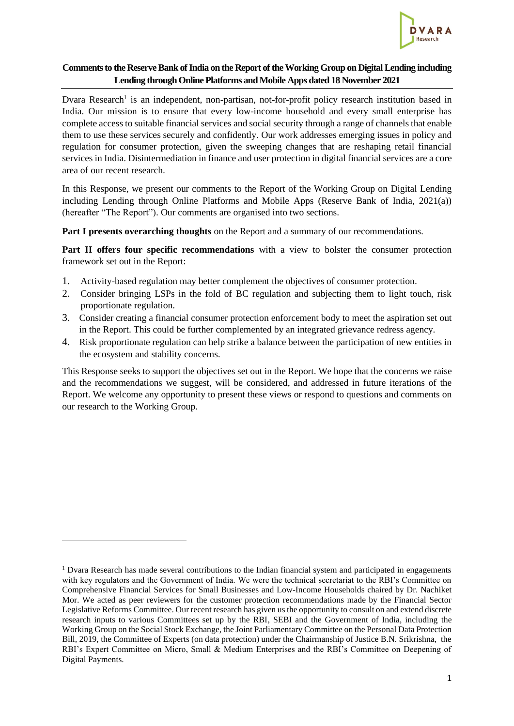

## **Comments to the Reserve Bank of India on the Report of the Working Group on Digital Lending including Lending through Online Platforms and Mobile Apps dated 18 November 2021**

Dvara Research<sup>1</sup> is an independent, non-partisan, not-for-profit policy research institution based in India. Our mission is to ensure that every low-income household and every small enterprise has complete access to suitable financial services and social security through a range of channels that enable them to use these services securely and confidently. Our work addresses emerging issues in policy and regulation for consumer protection, given the sweeping changes that are reshaping retail financial services in India. Disintermediation in finance and user protection in digital financial services are a core area of our recent research.

In this Response, we present our comments to the Report of the Working Group on Digital Lending including Lending through Online Platforms and Mobile Apps (Reserve Bank of India, 2021(a)) (hereafter "The Report"). Our comments are organised into two sections.

**Part I presents overarching thoughts** on the Report and a summary of our recommendations.

**Part II offers four specific recommendations** with a view to bolster the consumer protection framework set out in the Report:

- 1. Activity-based regulation may better complement the objectives of consumer protection.
- 2. Consider bringing LSPs in the fold of BC regulation and subjecting them to light touch, risk proportionate regulation.
- 3. Consider creating a financial consumer protection enforcement body to meet the aspiration set out in the Report. This could be further complemented by an integrated grievance redress agency.
- 4. Risk proportionate regulation can help strike a balance between the participation of new entities in the ecosystem and stability concerns.

This Response seeks to support the objectives set out in the Report. We hope that the concerns we raise and the recommendations we suggest, will be considered, and addressed in future iterations of the Report. We welcome any opportunity to present these views or respond to questions and comments on our research to the Working Group.

<sup>&</sup>lt;sup>1</sup> Dvara Research has made several contributions to the Indian financial system and participated in engagements with key regulators and the Government of India. We were the technical secretariat to the RBI's Committee on Comprehensive Financial Services for Small Businesses and Low-Income Households chaired by Dr. Nachiket Mor. We acted as peer reviewers for the customer protection recommendations made by the Financial Sector Legislative Reforms Committee. Our recent research has given us the opportunity to consult on and extend discrete research inputs to various Committees set up by the RBI, SEBI and the Government of India, including the Working Group on the Social Stock Exchange, the Joint Parliamentary Committee on the Personal Data Protection Bill, 2019, the Committee of Experts (on data protection) under the Chairmanship of Justice B.N. Srikrishna, the RBI's Expert Committee on Micro, Small & Medium Enterprises and the RBI's Committee on Deepening of Digital Payments.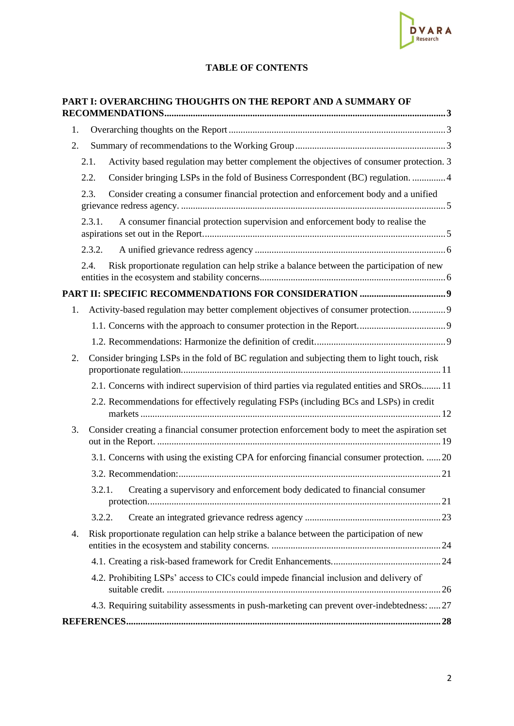

# **TABLE OF CONTENTS**

|    |        | PART I: OVERARCHING THOUGHTS ON THE REPORT AND A SUMMARY OF                                   |  |  |
|----|--------|-----------------------------------------------------------------------------------------------|--|--|
| 1. |        |                                                                                               |  |  |
| 2. |        |                                                                                               |  |  |
|    | 2.1.   | Activity based regulation may better complement the objectives of consumer protection. 3      |  |  |
|    | 2.2.   | Consider bringing LSPs in the fold of Business Correspondent (BC) regulation.  4              |  |  |
|    | 2.3.   | Consider creating a consumer financial protection and enforcement body and a unified          |  |  |
|    | 2.3.1. | A consumer financial protection supervision and enforcement body to realise the               |  |  |
|    | 2.3.2. |                                                                                               |  |  |
|    | 2.4.   | Risk proportionate regulation can help strike a balance between the participation of new      |  |  |
|    |        |                                                                                               |  |  |
| 1. |        | Activity-based regulation may better complement objectives of consumer protection9            |  |  |
|    |        |                                                                                               |  |  |
|    |        |                                                                                               |  |  |
| 2. |        | Consider bringing LSPs in the fold of BC regulation and subjecting them to light touch, risk  |  |  |
|    |        | 2.1. Concerns with indirect supervision of third parties via regulated entities and SROs 11   |  |  |
|    |        | 2.2. Recommendations for effectively regulating FSPs (including BCs and LSPs) in credit       |  |  |
| 3. |        | Consider creating a financial consumer protection enforcement body to meet the aspiration set |  |  |
|    |        | 3.1. Concerns with using the existing CPA for enforcing financial consumer protection.  20    |  |  |
|    |        |                                                                                               |  |  |
|    | 3.2.1. | Creating a supervisory and enforcement body dedicated to financial consumer                   |  |  |
|    | 3.2.2. |                                                                                               |  |  |
| 4. |        | Risk proportionate regulation can help strike a balance between the participation of new      |  |  |
|    |        |                                                                                               |  |  |
|    |        | 4.2. Prohibiting LSPs' access to CICs could impede financial inclusion and delivery of        |  |  |
|    |        | 4.3. Requiring suitability assessments in push-marketing can prevent over-indebtedness:  27   |  |  |
|    |        |                                                                                               |  |  |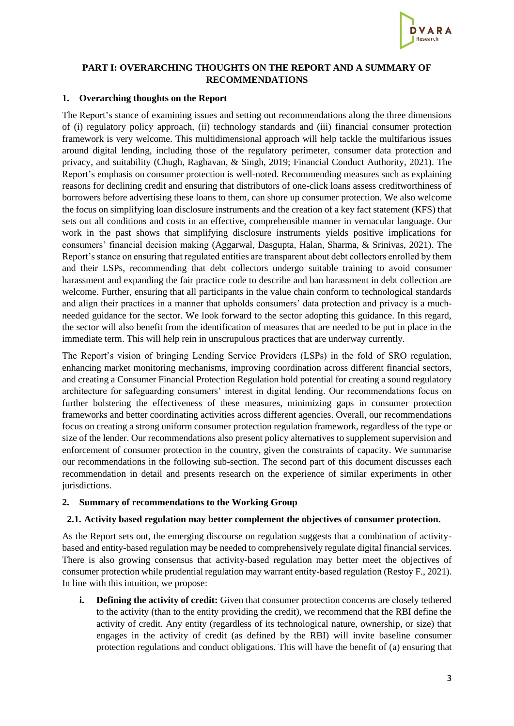

### <span id="page-2-0"></span>**PART I: OVERARCHING THOUGHTS ON THE REPORT AND A SUMMARY OF RECOMMENDATIONS**

#### <span id="page-2-1"></span>**1. Overarching thoughts on the Report**

The Report's stance of examining issues and setting out recommendations along the three dimensions of (i) regulatory policy approach, (ii) technology standards and (iii) financial consumer protection framework is very welcome. This multidimensional approach will help tackle the multifarious issues around digital lending, including those of the regulatory perimeter, consumer data protection and privacy, and suitability (Chugh, Raghavan, & Singh, 2019; Financial Conduct Authority, 2021). The Report's emphasis on consumer protection is well-noted. Recommending measures such as explaining reasons for declining credit and ensuring that distributors of one-click loans assess creditworthiness of borrowers before advertising these loans to them, can shore up consumer protection. We also welcome the focus on simplifying loan disclosure instruments and the creation of a key fact statement (KFS) that sets out all conditions and costs in an effective, comprehensible manner in vernacular language. Our work in the past shows that simplifying disclosure instruments yields positive implications for consumers' financial decision making (Aggarwal, Dasgupta, Halan, Sharma, & Srinivas, 2021). The Report's stance on ensuring that regulated entities are transparent about debt collectors enrolled by them and their LSPs, recommending that debt collectors undergo suitable training to avoid consumer harassment and expanding the fair practice code to describe and ban harassment in debt collection are welcome. Further, ensuring that all participants in the value chain conform to technological standards and align their practices in a manner that upholds consumers' data protection and privacy is a muchneeded guidance for the sector. We look forward to the sector adopting this guidance. In this regard, the sector will also benefit from the identification of measures that are needed to be put in place in the immediate term. This will help rein in unscrupulous practices that are underway currently.

The Report's vision of bringing Lending Service Providers (LSPs) in the fold of SRO regulation, enhancing market monitoring mechanisms, improving coordination across different financial sectors, and creating a Consumer Financial Protection Regulation hold potential for creating a sound regulatory architecture for safeguarding consumers' interest in digital lending. Our recommendations focus on further bolstering the effectiveness of these measures, minimizing gaps in consumer protection frameworks and better coordinating activities across different agencies. Overall, our recommendations focus on creating a strong uniform consumer protection regulation framework, regardless of the type or size of the lender. Our recommendations also present policy alternatives to supplement supervision and enforcement of consumer protection in the country, given the constraints of capacity. We summarise our recommendations in the following sub-section. The second part of this document discusses each recommendation in detail and presents research on the experience of similar experiments in other jurisdictions.

## <span id="page-2-2"></span>**2. Summary of recommendations to the Working Group**

## <span id="page-2-3"></span>**2.1. Activity based regulation may better complement the objectives of consumer protection.**

As the Report sets out, the emerging discourse on regulation suggests that a combination of activitybased and entity-based regulation may be needed to comprehensively regulate digital financial services. There is also growing consensus that activity-based regulation may better meet the objectives of consumer protection while prudential regulation may warrant entity-based regulation (Restoy F., 2021). In line with this intuition, we propose:

**i. Defining the activity of credit:** Given that consumer protection concerns are closely tethered to the activity (than to the entity providing the credit), we recommend that the RBI define the activity of credit. Any entity (regardless of its technological nature, ownership, or size) that engages in the activity of credit (as defined by the RBI) will invite baseline consumer protection regulations and conduct obligations. This will have the benefit of (a) ensuring that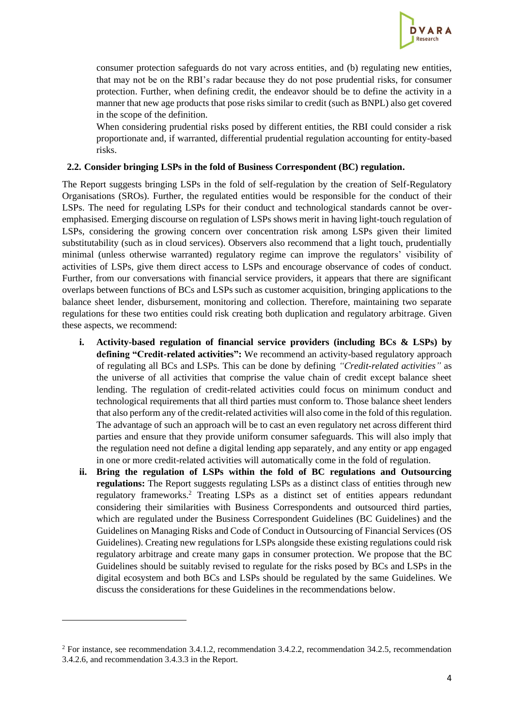

consumer protection safeguards do not vary across entities, and (b) regulating new entities, that may not be on the RBI's radar because they do not pose prudential risks, for consumer protection. Further, when defining credit, the endeavor should be to define the activity in a manner that new age products that pose risks similar to credit (such as BNPL) also get covered in the scope of the definition.

When considering prudential risks posed by different entities, the RBI could consider a risk proportionate and, if warranted, differential prudential regulation accounting for entity-based risks.

#### <span id="page-3-0"></span>**2.2. Consider bringing LSPs in the fold of Business Correspondent (BC) regulation.**

The Report suggests bringing LSPs in the fold of self-regulation by the creation of Self-Regulatory Organisations (SROs). Further, the regulated entities would be responsible for the conduct of their LSPs. The need for regulating LSPs for their conduct and technological standards cannot be overemphasised. Emerging discourse on regulation of LSPs shows merit in having light-touch regulation of LSPs, considering the growing concern over concentration risk among LSPs given their limited substitutability (such as in cloud services). Observers also recommend that a light touch, prudentially minimal (unless otherwise warranted) regulatory regime can improve the regulators' visibility of activities of LSPs, give them direct access to LSPs and encourage observance of codes of conduct. Further, from our conversations with financial service providers, it appears that there are significant overlaps between functions of BCs and LSPs such as customer acquisition, bringing applications to the balance sheet lender, disbursement, monitoring and collection. Therefore, maintaining two separate regulations for these two entities could risk creating both duplication and regulatory arbitrage. Given these aspects, we recommend:

- **i. Activity-based regulation of financial service providers (including BCs & LSPs) by defining "Credit-related activities":** We recommend an activity-based regulatory approach of regulating all BCs and LSPs. This can be done by defining *"Credit-related activities"* as the universe of all activities that comprise the value chain of credit except balance sheet lending. The regulation of credit-related activities could focus on minimum conduct and technological requirements that all third parties must conform to. Those balance sheet lenders that also perform any of the credit-related activities will also come in the fold of this regulation. The advantage of such an approach will be to cast an even regulatory net across different third parties and ensure that they provide uniform consumer safeguards. This will also imply that the regulation need not define a digital lending app separately, and any entity or app engaged in one or more credit-related activities will automatically come in the fold of regulation.
- **ii. Bring the regulation of LSPs within the fold of BC regulations and Outsourcing regulations:** The Report suggests regulating LSPs as a distinct class of entities through new regulatory frameworks.<sup>2</sup> Treating LSPs as a distinct set of entities appears redundant considering their similarities with Business Correspondents and outsourced third parties, which are regulated under the Business Correspondent Guidelines (BC Guidelines) and the Guidelines on Managing Risks and Code of Conduct in Outsourcing of Financial Services (OS Guidelines). Creating new regulations for LSPs alongside these existing regulations could risk regulatory arbitrage and create many gaps in consumer protection. We propose that the BC Guidelines should be suitably revised to regulate for the risks posed by BCs and LSPs in the digital ecosystem and both BCs and LSPs should be regulated by the same Guidelines. We discuss the considerations for these Guidelines in the recommendations below.

<sup>&</sup>lt;sup>2</sup> For instance, see recommendation 3.4.1.2, recommendation 3.4.2.2, recommendation 34.2.5, recommendation 3.4.2.6, and recommendation 3.4.3.3 in the Report.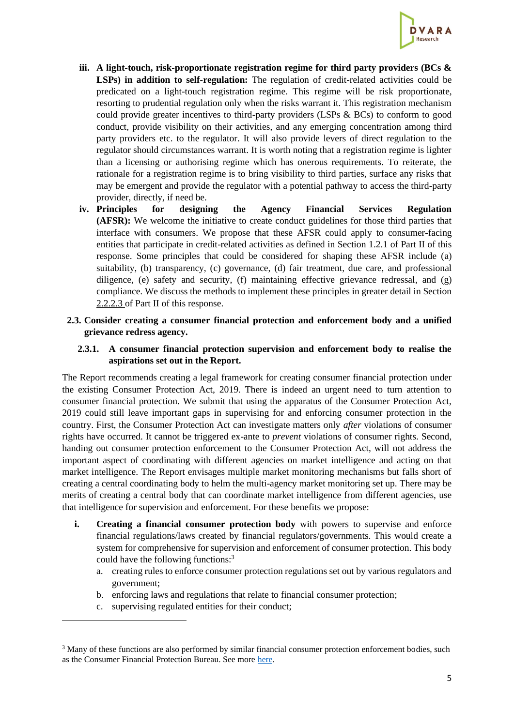

- **iii. A light-touch, risk-proportionate registration regime for third party providers (BCs &**  LSPs) in addition to self-regulation: The regulation of credit-related activities could be predicated on a light-touch registration regime. This regime will be risk proportionate, resorting to prudential regulation only when the risks warrant it. This registration mechanism could provide greater incentives to third-party providers (LSPs & BCs) to conform to good conduct, provide visibility on their activities, and any emerging concentration among third party providers etc. to the regulator. It will also provide levers of direct regulation to the regulator should circumstances warrant. It is worth noting that a registration regime is lighter than a licensing or authorising regime which has onerous requirements. To reiterate, the rationale for a registration regime is to bring visibility to third parties, surface any risks that may be emergent and provide the regulator with a potential pathway to access the third-party provider, directly, if need be.
- **iv. Principles for designing the Agency Financial Services Regulation (AFSR):** We welcome the initiative to create conduct guidelines for those third parties that interface with consumers. We propose that these AFSR could apply to consumer-facing entities that participate in credit-related activities as defined in Section [1.2.1](#page-8-4) of Part II of this response. Some principles that could be considered for shaping these AFSR include (a) suitability, (b) transparency, (c) governance, (d) fair treatment, due care, and professional diligence, (e) safety and security, (f) maintaining effective grievance redressal, and (g) compliance. We discuss the methods to implement these principles in greater detail in Section [2.2.2.3](#page-15-0) of Part II of this response.
- <span id="page-4-0"></span>**2.3. Consider creating a consumer financial protection and enforcement body and a unified grievance redress agency.**

## <span id="page-4-1"></span>**2.3.1. A consumer financial protection supervision and enforcement body to realise the aspirations set out in the Report.**

The Report recommends creating a legal framework for creating consumer financial protection under the existing Consumer Protection Act, 2019. There is indeed an urgent need to turn attention to consumer financial protection. We submit that using the apparatus of the Consumer Protection Act, 2019 could still leave important gaps in supervising for and enforcing consumer protection in the country. First, the Consumer Protection Act can investigate matters only *after* violations of consumer rights have occurred. It cannot be triggered ex-ante to *prevent* violations of consumer rights. Second, handing out consumer protection enforcement to the Consumer Protection Act, will not address the important aspect of coordinating with different agencies on market intelligence and acting on that market intelligence. The Report envisages multiple market monitoring mechanisms but falls short of creating a central coordinating body to helm the multi-agency market monitoring set up. There may be merits of creating a central body that can coordinate market intelligence from different agencies, use that intelligence for supervision and enforcement. For these benefits we propose:

- **i. Creating a financial consumer protection body** with powers to supervise and enforce financial regulations/laws created by financial regulators/governments. This would create a system for comprehensive for supervision and enforcement of consumer protection. This body could have the following functions:<sup>3</sup>
	- a. creating rules to enforce consumer protection regulations set out by various regulators and government;
	- b. enforcing laws and regulations that relate to financial consumer protection;
	- c. supervising regulated entities for their conduct;

<sup>&</sup>lt;sup>3</sup> Many of these functions are also performed by similar financial consumer protection enforcement bodies, such as the Consumer Financial Protection Bureau. See more [here.](https://www.consumerfinance.gov/about-us/the-bureau/)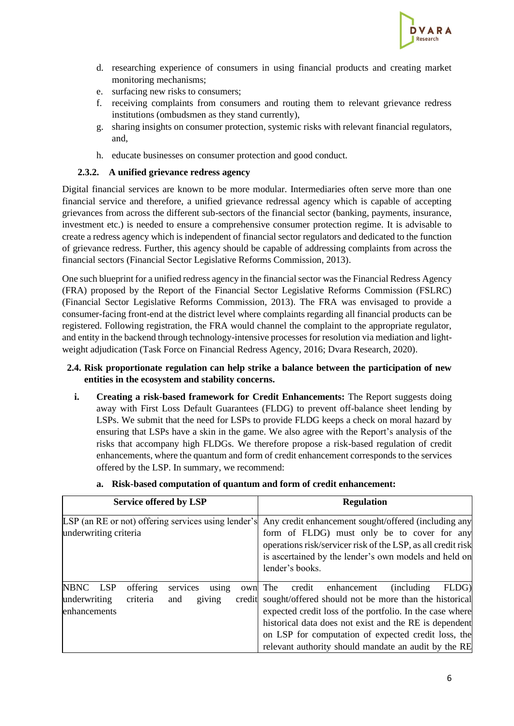

- d. researching experience of consumers in using financial products and creating market monitoring mechanisms;
- e. surfacing new risks to consumers;
- f. receiving complaints from consumers and routing them to relevant grievance redress institutions (ombudsmen as they stand currently),
- g. sharing insights on consumer protection, systemic risks with relevant financial regulators, and,
- h. educate businesses on consumer protection and good conduct.

### **2.3.2. A unified grievance redress agency**

<span id="page-5-0"></span>Digital financial services are known to be more modular. Intermediaries often serve more than one financial service and therefore, a unified grievance redressal agency which is capable of accepting grievances from across the different sub-sectors of the financial sector (banking, payments, insurance, investment etc.) is needed to ensure a comprehensive consumer protection regime. It is advisable to create a redress agency which is independent of financial sector regulators and dedicated to the function of grievance redress. Further, this agency should be capable of addressing complaints from across the financial sectors (Financial Sector Legislative Reforms Commission, 2013).

One such blueprint for a unified redress agency in the financial sector was the Financial Redress Agency (FRA) proposed by the Report of the Financial Sector Legislative Reforms Commission (FSLRC) (Financial Sector Legislative Reforms Commission, 2013). The FRA was envisaged to provide a consumer-facing front-end at the district level where complaints regarding all financial products can be registered. Following registration, the FRA would channel the complaint to the appropriate regulator, and entity in the backend through technology-intensive processes for resolution via mediation and lightweight adjudication (Task Force on Financial Redress Agency, 2016; Dvara Research, 2020).

### <span id="page-5-1"></span>**2.4. Risk proportionate regulation can help strike a balance between the participation of new entities in the ecosystem and stability concerns.**

**i. Creating a risk-based framework for Credit Enhancements:** The Report suggests doing away with First Loss Default Guarantees (FLDG) to prevent off-balance sheet lending by LSPs. We submit that the need for LSPs to provide FLDG keeps a check on moral hazard by ensuring that LSPs have a skin in the game. We also agree with the Report's analysis of the risks that accompany high FLDGs. We therefore propose a risk-based regulation of credit enhancements, where the quantum and form of credit enhancement corresponds to the services offered by the LSP. In summary, we recommend:

| <b>Service offered by LSP</b>                                                                                           | <b>Regulation</b>                                                                                                                                                                                                                                                                                                                                         |
|-------------------------------------------------------------------------------------------------------------------------|-----------------------------------------------------------------------------------------------------------------------------------------------------------------------------------------------------------------------------------------------------------------------------------------------------------------------------------------------------------|
| underwriting criteria                                                                                                   | LSP (an RE or not) offering services using lender's Any credit enhancement sought/offered (including any<br>form of FLDG) must only be to cover for any<br>operations risk/servicer risk of the LSP, as all credit risk<br>is ascertained by the lender's own models and held on<br>lender's books.                                                       |
| NBNC LSP<br>offering<br>services<br>own<br>using<br>criteria<br>underwriting<br>giving<br>credit<br>and<br>enhancements | The<br>FLDG)<br><i>(including)</i><br>credit<br>enhancement<br>sought/offered should not be more than the historical<br>expected credit loss of the portfolio. In the case where<br>historical data does not exist and the RE is dependent<br>on LSP for computation of expected credit loss, the<br>relevant authority should mandate an audit by the RE |

**a. Risk-based computation of quantum and form of credit enhancement:**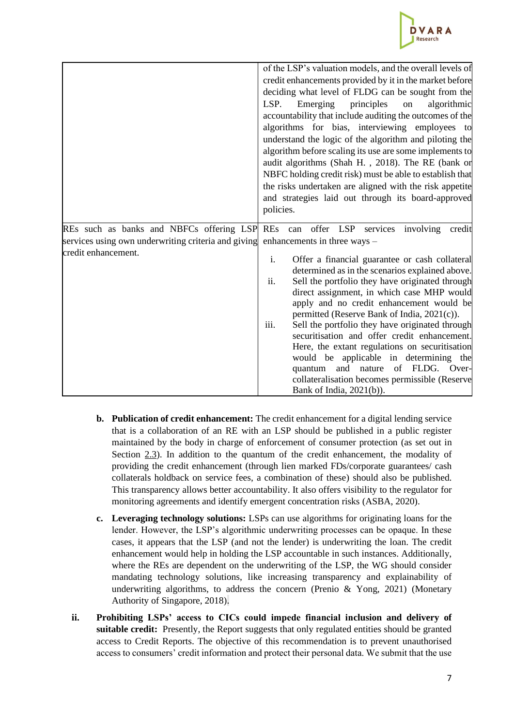

|                                                                               | of the LSP's valuation models, and the overall levels of<br>credit enhancements provided by it in the market before<br>deciding what level of FLDG can be sought from the<br>principles<br>LSP.<br>Emerging<br>algorithmic<br>on<br>accountability that include auditing the outcomes of the<br>algorithms for bias, interviewing employees to<br>understand the logic of the algorithm and piloting the<br>algorithm before scaling its use are some implements to<br>audit algorithms (Shah H., 2018). The RE (bank or<br>NBFC holding credit risk) must be able to establish that<br>the risks undertaken are aligned with the risk appetite<br>and strategies laid out through its board-approved<br>policies. |
|-------------------------------------------------------------------------------|--------------------------------------------------------------------------------------------------------------------------------------------------------------------------------------------------------------------------------------------------------------------------------------------------------------------------------------------------------------------------------------------------------------------------------------------------------------------------------------------------------------------------------------------------------------------------------------------------------------------------------------------------------------------------------------------------------------------|
| REs such as banks and NBFCs offering LSP REs can offer LSP services involving | credit                                                                                                                                                                                                                                                                                                                                                                                                                                                                                                                                                                                                                                                                                                             |
| services using own underwriting criteria and giving                           | enhancements in three ways -                                                                                                                                                                                                                                                                                                                                                                                                                                                                                                                                                                                                                                                                                       |
| credit enhancement.                                                           | Offer a financial guarantee or cash collateral<br>i.<br>determined as in the scenarios explained above.<br>ii.<br>Sell the portfolio they have originated through<br>direct assignment, in which case MHP would<br>apply and no credit enhancement would be<br>permitted (Reserve Bank of India, 2021(c)).<br>iii.<br>Sell the portfolio they have originated through<br>securitisation and offer credit enhancement.<br>Here, the extant regulations on securitisation<br>would be applicable in determining the<br>and nature of FLDG. Over-<br>quantum<br>collateralisation becomes permissible (Reserve<br>Bank of India, $2021(b)$ ).                                                                         |

- **b. Publication of credit enhancement:** The credit enhancement for a digital lending service that is a collaboration of an RE with an LSP should be published in a public register maintained by the body in charge of enforcement of consumer protection (as set out in Section [2.3\)](#page-4-0). In addition to the quantum of the credit enhancement, the modality of providing the credit enhancement (through lien marked FDs/corporate guarantees/ cash collaterals holdback on service fees, a combination of these) should also be published. This transparency allows better accountability. It also offers visibility to the regulator for monitoring agreements and identify emergent concentration risks (ASBA, 2020).
- **c. Leveraging technology solutions:** LSPs can use algorithms for originating loans for the lender. However, the LSP's algorithmic underwriting processes can be opaque. In these cases, it appears that the LSP (and not the lender) is underwriting the loan. The credit enhancement would help in holding the LSP accountable in such instances. Additionally, where the REs are dependent on the underwriting of the LSP, the WG should consider mandating technology solutions, like increasing transparency and explainability of underwriting algorithms, to address the concern (Prenio & Yong, 2021) (Monetary Authority of Singapore, 2018).
- **ii. Prohibiting LSPs' access to CICs could impede financial inclusion and delivery of suitable credit:** Presently, the Report suggests that only regulated entities should be granted access to Credit Reports. The objective of this recommendation is to prevent unauthorised access to consumers' credit information and protect their personal data. We submit that the use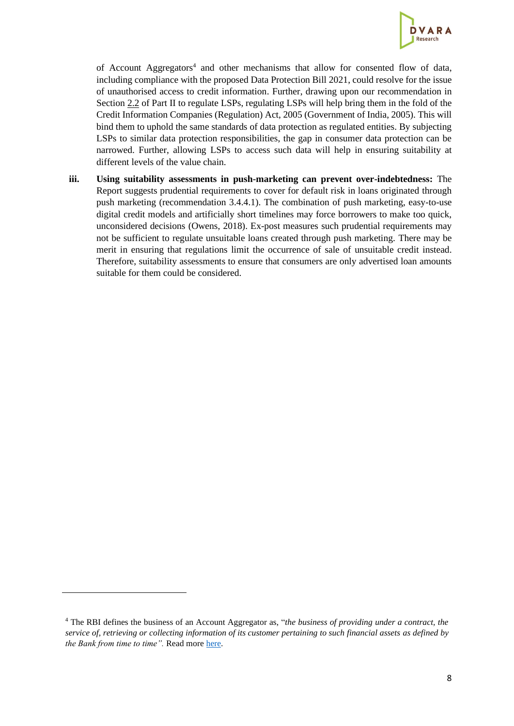

of Account Aggregators<sup>4</sup> and other mechanisms that allow for consented flow of data, including compliance with the proposed Data Protection Bill 2021, could resolve for the issue of unauthorised access to credit information. Further, drawing upon our recommendation in Section [2.2](#page-11-0) of Part II to regulate LSPs, regulating LSPs will help bring them in the fold of the Credit Information Companies (Regulation) Act, 2005 (Government of India, 2005). This will bind them to uphold the same standards of data protection as regulated entities. By subjecting LSPs to similar data protection responsibilities, the gap in consumer data protection can be narrowed. Further, allowing LSPs to access such data will help in ensuring suitability at different levels of the value chain.

**iii. Using suitability assessments in push-marketing can prevent over-indebtedness:** The Report suggests prudential requirements to cover for default risk in loans originated through push marketing (recommendation 3.4.4.1). The combination of push marketing, easy-to-use digital credit models and artificially short timelines may force borrowers to make too quick, unconsidered decisions (Owens, 2018). Ex-post measures such prudential requirements may not be sufficient to regulate unsuitable loans created through push marketing. There may be merit in ensuring that regulations limit the occurrence of sale of unsuitable credit instead. Therefore, suitability assessments to ensure that consumers are only advertised loan amounts suitable for them could be considered.

<sup>4</sup> The RBI defines the business of an Account Aggregator as, "*the business of providing under a contract, the service of, retrieving or collecting information of its customer pertaining to such financial assets as defined by the Bank from time to time"*. Read mor[e here.](https://www.rbi.org.in/Scripts/bs_viewcontent.aspx?Id=3142)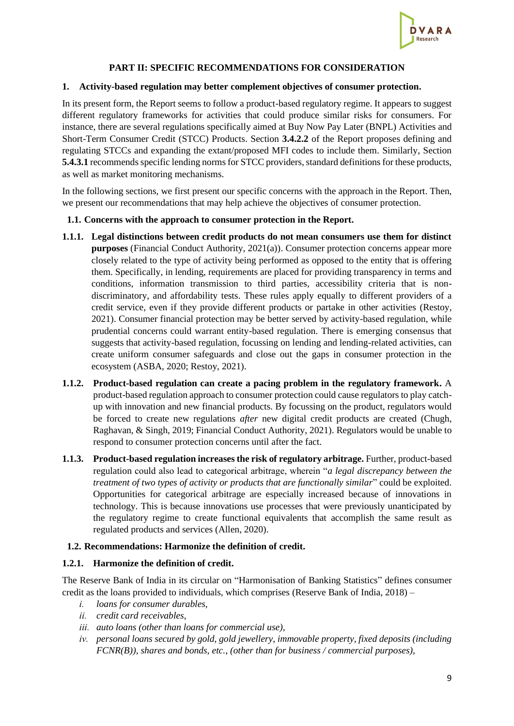

## **PART II: SPECIFIC RECOMMENDATIONS FOR CONSIDERATION**

#### <span id="page-8-1"></span><span id="page-8-0"></span>**1. Activity-based regulation may better complement objectives of consumer protection.**

In its present form, the Report seems to follow a product-based regulatory regime. It appears to suggest different regulatory frameworks for activities that could produce similar risks for consumers. For instance, there are several regulations specifically aimed at Buy Now Pay Later (BNPL) Activities and Short-Term Consumer Credit (STCC) Products. Section **3.4.2.2** of the Report proposes defining and regulating STCCs and expanding the extant/proposed MFI codes to include them. Similarly, Section **5.4.3.1** recommends specific lending norms for STCC providers, standard definitions for these products, as well as market monitoring mechanisms.

In the following sections, we first present our specific concerns with the approach in the Report. Then, we present our recommendations that may help achieve the objectives of consumer protection.

#### <span id="page-8-2"></span>**1.1. Concerns with the approach to consumer protection in the Report.**

- **1.1.1. Legal distinctions between credit products do not mean consumers use them for distinct purposes** (Financial Conduct Authority, 2021(a)). Consumer protection concerns appear more closely related to the type of activity being performed as opposed to the entity that is offering them. Specifically, in lending, requirements are placed for providing transparency in terms and conditions, information transmission to third parties, accessibility criteria that is nondiscriminatory, and affordability tests. These rules apply equally to different providers of a credit service, even if they provide different products or partake in other activities (Restoy, 2021). Consumer financial protection may be better served by activity-based regulation, while prudential concerns could warrant entity-based regulation. There is emerging consensus that suggests that activity-based regulation, focussing on lending and lending-related activities, can create uniform consumer safeguards and close out the gaps in consumer protection in the ecosystem (ASBA, 2020; Restoy, 2021).
- **1.1.2. Product-based regulation can create a pacing problem in the regulatory framework.** A product-based regulation approach to consumer protection could cause regulators to play catchup with innovation and new financial products. By focussing on the product, regulators would be forced to create new regulations *after* new digital credit products are created (Chugh, Raghavan, & Singh, 2019; Financial Conduct Authority, 2021). Regulators would be unable to respond to consumer protection concerns until after the fact.
- **1.1.3. Product-based regulation increases the risk of regulatory arbitrage.** Further, product-based regulation could also lead to categorical arbitrage, wherein "*a legal discrepancy between the treatment of two types of activity or products that are functionally similar*" could be exploited. Opportunities for categorical arbitrage are especially increased because of innovations in technology. This is because innovations use processes that were previously unanticipated by the regulatory regime to create functional equivalents that accomplish the same result as regulated products and services (Allen, 2020).

#### <span id="page-8-3"></span>**1.2. Recommendations: Harmonize the definition of credit.**

#### <span id="page-8-4"></span>**1.2.1. Harmonize the definition of credit.**

The Reserve Bank of India in its circular on "Harmonisation of Banking Statistics" defines consumer credit as the loans provided to individuals, which comprises (Reserve Bank of India, 2018) –

- *i. loans for consumer durables,*
- *ii. credit card receivables,*
- *iii. auto loans (other than loans for commercial use),*
- *iv. personal loans secured by gold, gold jewellery, immovable property, fixed deposits (including FCNR(B)), shares and bonds, etc., (other than for business / commercial purposes),*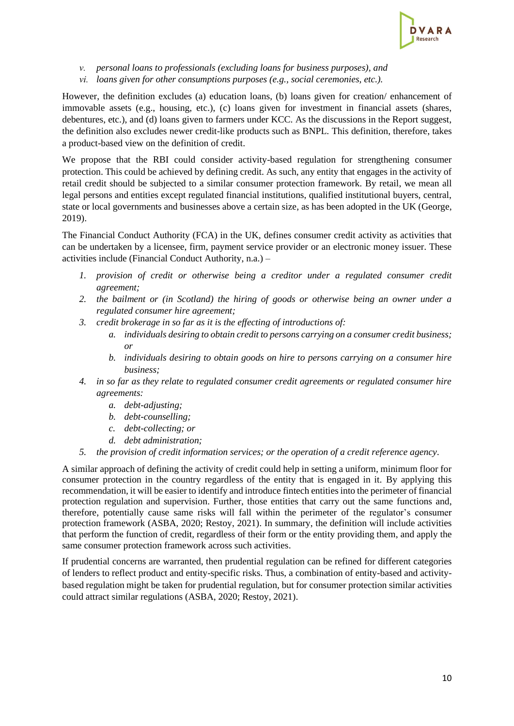

*v. personal loans to professionals (excluding loans for business purposes), and* 

*vi. loans given for other consumptions purposes (e.g., social ceremonies, etc.).*

However, the definition excludes (a) education loans, (b) loans given for creation/ enhancement of immovable assets (e.g., housing, etc.), (c) loans given for investment in financial assets (shares, debentures, etc.), and (d) loans given to farmers under KCC. As the discussions in the Report suggest, the definition also excludes newer credit-like products such as BNPL. This definition, therefore, takes a product-based view on the definition of credit.

We propose that the RBI could consider activity-based regulation for strengthening consumer protection. This could be achieved by defining credit. As such, any entity that engages in the activity of retail credit should be subjected to a similar consumer protection framework. By retail, we mean all legal persons and entities except regulated financial institutions, qualified institutional buyers, central, state or local governments and businesses above a certain size, as has been adopted in the UK (George, 2019).

The Financial Conduct Authority (FCA) in the UK, defines consumer credit activity as activities that can be undertaken by a licensee, firm, payment service provider or an electronic money issuer. These activities include (Financial Conduct Authority, n.a.) –

- *1. provision of credit or otherwise being a creditor under a regulated consumer credit agreement;*
- *2. the bailment or (in Scotland) the hiring of goods or otherwise being an owner under a regulated consumer hire agreement;*
- *3. credit brokerage in so far as it is the effecting of introductions of:*
	- *a. individuals desiring to obtain credit to persons carrying on a consumer credit business; or*
	- *b. individuals desiring to obtain goods on hire to persons carrying on a consumer hire business;*
- *4. in so far as they relate to regulated consumer credit agreements or regulated consumer hire agreements:*
	- *a. debt-adjusting;*
	- *b. debt-counselling;*
	- *c. debt-collecting; or*
	- *d. debt administration;*
- *5. the provision of credit information services; or the operation of a credit reference agency*.

A similar approach of defining the activity of credit could help in setting a uniform, minimum floor for consumer protection in the country regardless of the entity that is engaged in it. By applying this recommendation, it will be easier to identify and introduce fintech entitiesinto the perimeter of financial protection regulation and supervision. Further, those entities that carry out the same functions and, therefore, potentially cause same risks will fall within the perimeter of the regulator's consumer protection framework (ASBA, 2020; Restoy, 2021). In summary, the definition will include activities that perform the function of credit, regardless of their form or the entity providing them, and apply the same consumer protection framework across such activities.

If prudential concerns are warranted, then prudential regulation can be refined for different categories of lenders to reflect product and entity-specific risks. Thus, a combination of entity-based and activitybased regulation might be taken for prudential regulation, but for consumer protection similar activities could attract similar regulations (ASBA, 2020; Restoy, 2021).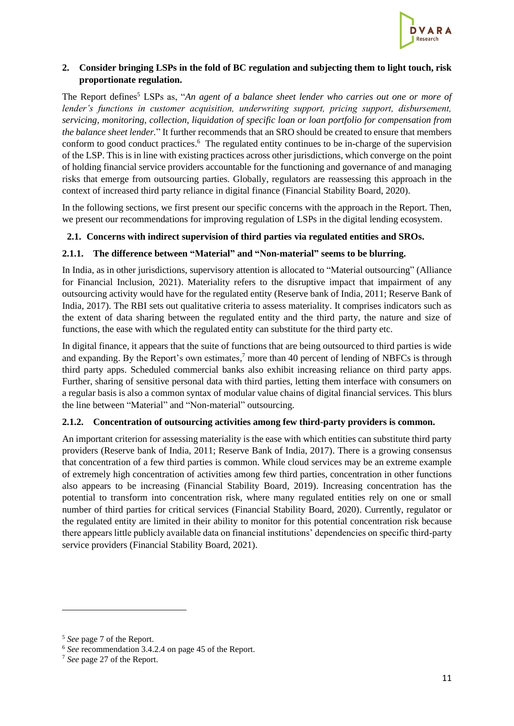

## <span id="page-10-0"></span>**2. Consider bringing LSPs in the fold of BC regulation and subjecting them to light touch, risk proportionate regulation.**

The Report defines<sup>5</sup> LSPs as, "*An agent of a balance sheet lender who carries out one or more of lender's functions in customer acquisition, underwriting support, pricing support, disbursement, servicing, monitoring, collection, liquidation of specific loan or loan portfolio for compensation from the balance sheet lender.*" It further recommends that an SRO should be created to ensure that members conform to good conduct practices.<sup>6</sup> The regulated entity continues to be in-charge of the supervision of the LSP. This is in line with existing practices across other jurisdictions, which converge on the point of holding financial service providers accountable for the functioning and governance of and managing risks that emerge from outsourcing parties. Globally, regulators are reassessing this approach in the context of increased third party reliance in digital finance (Financial Stability Board, 2020).

In the following sections, we first present our specific concerns with the approach in the Report. Then, we present our recommendations for improving regulation of LSPs in the digital lending ecosystem.

# <span id="page-10-1"></span>**2.1. Concerns with indirect supervision of third parties via regulated entities and SROs.**

## **2.1.1. The difference between "Material" and "Non-material" seems to be blurring.**

In India, as in other jurisdictions, supervisory attention is allocated to "Material outsourcing" (Alliance for Financial Inclusion, 2021). Materiality refers to the disruptive impact that impairment of any outsourcing activity would have for the regulated entity (Reserve bank of India, 2011; Reserve Bank of India, 2017). The RBI sets out qualitative criteria to assess materiality. It comprises indicators such as the extent of data sharing between the regulated entity and the third party, the nature and size of functions, the ease with which the regulated entity can substitute for the third party etc.

In digital finance, it appears that the suite of functions that are being outsourced to third parties is wide and expanding. By the Report's own estimates,<sup>7</sup> more than 40 percent of lending of NBFCs is through third party apps. Scheduled commercial banks also exhibit increasing reliance on third party apps. Further, sharing of sensitive personal data with third parties, letting them interface with consumers on a regular basis is also a common syntax of modular value chains of digital financial services. This blurs the line between "Material" and "Non-material" outsourcing.

## **2.1.2. Concentration of outsourcing activities among few third-party providers is common.**

An important criterion for assessing materiality is the ease with which entities can substitute third party providers (Reserve bank of India, 2011; Reserve Bank of India, 2017). There is a growing consensus that concentration of a few third parties is common. While cloud services may be an extreme example of extremely high concentration of activities among few third parties, concentration in other functions also appears to be increasing (Financial Stability Board, 2019). Increasing concentration has the potential to transform into concentration risk, where many regulated entities rely on one or small number of third parties for critical services (Financial Stability Board, 2020). Currently, regulator or the regulated entity are limited in their ability to monitor for this potential concentration risk because there appears little publicly available data on financial institutions' dependencies on specific third-party service providers (Financial Stability Board, 2021).

<sup>5</sup> *See* page 7 of the Report.

<sup>6</sup> *See* recommendation 3.4.2.4 on page 45 of the Report.

<sup>7</sup> *See* page 27 of the Report.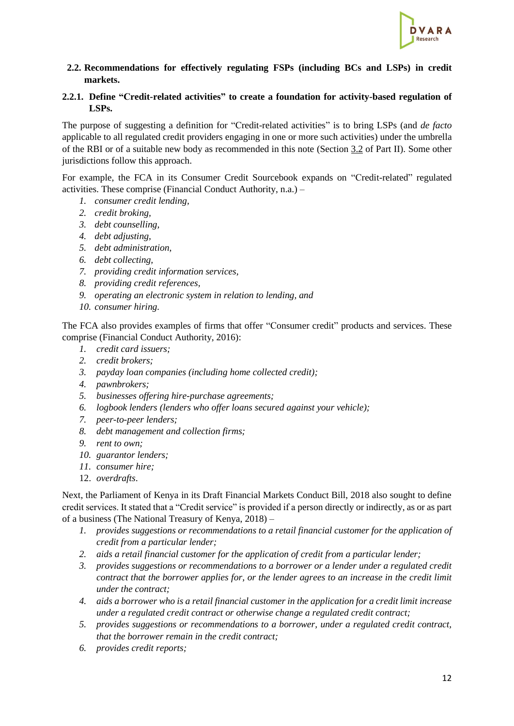

<span id="page-11-0"></span>**2.2. Recommendations for effectively regulating FSPs (including BCs and LSPs) in credit markets.**

### <span id="page-11-1"></span>**2.2.1. Define "Credit-related activities" to create a foundation for activity-based regulation of LSPs.**

The purpose of suggesting a definition for "Credit-related activities" is to bring LSPs (and *de facto* applicable to all regulated credit providers engaging in one or more such activities) under the umbrella of the RBI or of a suitable new body as recommended in this note (Section [3.2](#page-20-0) of Part II). Some other jurisdictions follow this approach.

For example, the FCA in its Consumer Credit Sourcebook expands on "Credit-related" regulated activities. These comprise (Financial Conduct Authority, n.a.) –

- *1. consumer credit lending,*
- *2. credit broking,*
- *3. debt counselling,*
- *4. debt adjusting,*
- *5. debt administration,*
- *6. debt collecting,*
- *7. providing credit information services,*
- *8. providing credit references,*
- *9. operating an electronic system in relation to lending, and*
- *10. consumer hiring.*

The FCA also provides examples of firms that offer "Consumer credit" products and services. These comprise (Financial Conduct Authority, 2016):

- *1. credit card issuers;*
- *2. credit brokers;*
- *3. payday loan companies (including home collected credit);*
- *4. pawnbrokers;*
- *5. businesses offering hire-purchase agreements;*
- *6. logbook lenders (lenders who offer loans secured against your vehicle);*
- *7. peer-to-peer lenders;*
- *8. debt management and collection firms;*
- *9. rent to own;*
- *10. guarantor lenders;*
- *11. consumer hire;*
- 12. *overdrafts*.

Next, the Parliament of Kenya in its Draft Financial Markets Conduct Bill, 2018 also sought to define credit services. It stated that a "Credit service" is provided if a person directly or indirectly, as or as part of a business (The National Treasury of Kenya, 2018) –

- *1. provides suggestions or recommendations to a retail financial customer for the application of credit from a particular lender;*
- *2. aids a retail financial customer for the application of credit from a particular lender;*
- *3. provides suggestions or recommendations to a borrower or a lender under a regulated credit contract that the borrower applies for, or the lender agrees to an increase in the credit limit under the contract;*
- *4. aids a borrower who is a retail financial customer in the application for a credit limit increase under a regulated credit contract or otherwise change a regulated credit contract;*
- *5. provides suggestions or recommendations to a borrower, under a regulated credit contract, that the borrower remain in the credit contract;*
- *6. provides credit reports;*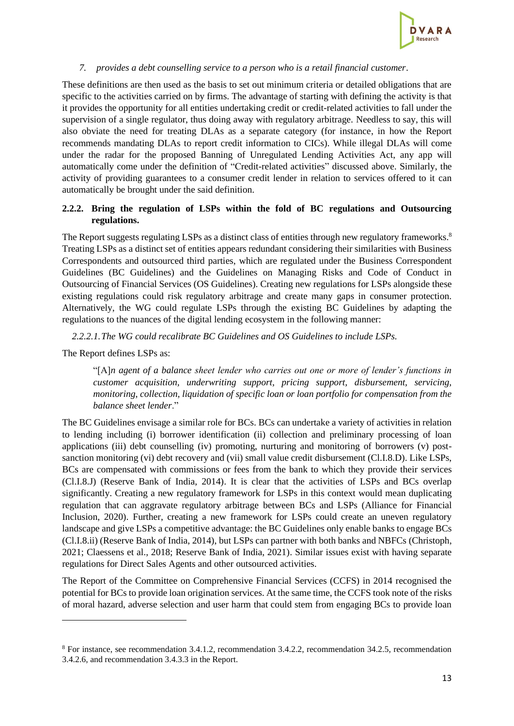

#### *7. provides a debt counselling service to a person who is a retail financial customer*.

These definitions are then used as the basis to set out minimum criteria or detailed obligations that are specific to the activities carried on by firms. The advantage of starting with defining the activity is that it provides the opportunity for all entities undertaking credit or credit-related activities to fall under the supervision of a single regulator, thus doing away with regulatory arbitrage. Needless to say, this will also obviate the need for treating DLAs as a separate category (for instance, in how the Report recommends mandating DLAs to report credit information to CICs). While illegal DLAs will come under the radar for the proposed Banning of Unregulated Lending Activities Act, any app will automatically come under the definition of "Credit-related activities" discussed above. Similarly, the activity of providing guarantees to a consumer credit lender in relation to services offered to it can automatically be brought under the said definition.

## **2.2.2. Bring the regulation of LSPs within the fold of BC regulations and Outsourcing regulations.**

The Report suggests regulating LSPs as a distinct class of entities through new regulatory frameworks.<sup>8</sup> Treating LSPs as a distinct set of entities appears redundant considering their similarities with Business Correspondents and outsourced third parties, which are regulated under the Business Correspondent Guidelines (BC Guidelines) and the Guidelines on Managing Risks and Code of Conduct in Outsourcing of Financial Services (OS Guidelines). Creating new regulations for LSPs alongside these existing regulations could risk regulatory arbitrage and create many gaps in consumer protection. Alternatively, the WG could regulate LSPs through the existing BC Guidelines by adapting the regulations to the nuances of the digital lending ecosystem in the following manner:

*2.2.2.1.The WG could recalibrate BC Guidelines and OS Guidelines to include LSPs.*

The Report defines LSPs as:

"[A]*n agent of a balance sheet lender who carries out one or more of lender's functions in customer acquisition, underwriting support, pricing support, disbursement, servicing, monitoring, collection, liquidation of specific loan or loan portfolio for compensation from the balance sheet lender*."

The BC Guidelines envisage a similar role for BCs. BCs can undertake a variety of activities in relation to lending including (i) borrower identification (ii) collection and preliminary processing of loan applications (iii) debt counselling (iv) promoting, nurturing and monitoring of borrowers (v) postsanction monitoring (vi) debt recovery and (vii) small value credit disbursement (Cl.I.8.D). Like LSPs, BCs are compensated with commissions or fees from the bank to which they provide their services (Cl.I.8.J) (Reserve Bank of India, 2014). It is clear that the activities of LSPs and BCs overlap significantly. Creating a new regulatory framework for LSPs in this context would mean duplicating regulation that can aggravate regulatory arbitrage between BCs and LSPs (Alliance for Financial Inclusion, 2020). Further, creating a new framework for LSPs could create an uneven regulatory landscape and give LSPs a competitive advantage: the BC Guidelines only enable banks to engage BCs (Cl.I.8.ii) (Reserve Bank of India, 2014), but LSPs can partner with both banks and NBFCs (Christoph, 2021; Claessens et al., 2018; Reserve Bank of India, 2021). Similar issues exist with having separate regulations for Direct Sales Agents and other outsourced activities.

The Report of the Committee on Comprehensive Financial Services (CCFS) in 2014 recognised the potential for BCs to provide loan origination services. At the same time, the CCFS took note of the risks of moral hazard, adverse selection and user harm that could stem from engaging BCs to provide loan

<sup>8</sup> For instance, see recommendation 3.4.1.2, recommendation 3.4.2.2, recommendation 34.2.5, recommendation 3.4.2.6, and recommendation 3.4.3.3 in the Report.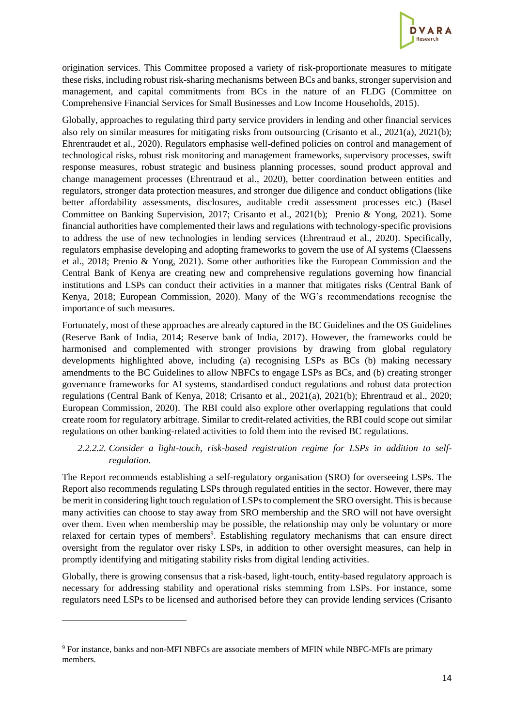

origination services. This Committee proposed a variety of risk-proportionate measures to mitigate these risks, including robust risk-sharing mechanisms between BCs and banks, stronger supervision and management, and capital commitments from BCs in the nature of an FLDG (Committee on Comprehensive Financial Services for Small Businesses and Low Income Households, 2015).

Globally, approaches to regulating third party service providers in lending and other financial services also rely on similar measures for mitigating risks from outsourcing (Crisanto et al., 2021(a), 2021(b); Ehrentraudet et al., 2020). Regulators emphasise well-defined policies on control and management of technological risks, robust risk monitoring and management frameworks, supervisory processes, swift response measures, robust strategic and business planning processes, sound product approval and change management processes (Ehrentraud et al., 2020), better coordination between entities and regulators, stronger data protection measures, and stronger due diligence and conduct obligations (like better affordability assessments, disclosures, auditable credit assessment processes etc.) (Basel Committee on Banking Supervision, 2017; Crisanto et al., 2021(b); Prenio & Yong, 2021). Some financial authorities have complemented their laws and regulations with technology-specific provisions to address the use of new technologies in lending services (Ehrentraud et al., 2020). Specifically, regulators emphasise developing and adopting frameworks to govern the use of AI systems (Claessens et al., 2018; Prenio & Yong, 2021). Some other authorities like the European Commission and the Central Bank of Kenya are creating new and comprehensive regulations governing how financial institutions and LSPs can conduct their activities in a manner that mitigates risks (Central Bank of Kenya, 2018; European Commission, 2020). Many of the WG's recommendations recognise the importance of such measures.

Fortunately, most of these approaches are already captured in the BC Guidelines and the OS Guidelines (Reserve Bank of India, 2014; Reserve bank of India, 2017). However, the frameworks could be harmonised and complemented with stronger provisions by drawing from global regulatory developments highlighted above, including (a) recognising LSPs as BCs (b) making necessary amendments to the BC Guidelines to allow NBFCs to engage LSPs as BCs, and (b) creating stronger governance frameworks for AI systems, standardised conduct regulations and robust data protection regulations (Central Bank of Kenya, 2018; Crisanto et al., 2021(a), 2021(b); Ehrentraud et al., 2020; European Commission, 2020). The RBI could also explore other overlapping regulations that could create room for regulatory arbitrage. Similar to credit-related activities, the RBI could scope out similar regulations on other banking-related activities to fold them into the revised BC regulations.

## *2.2.2.2. Consider a light-touch, risk-based registration regime for LSPs in addition to selfregulation.*

The Report recommends establishing a self-regulatory organisation (SRO) for overseeing LSPs. The Report also recommends regulating LSPs through regulated entities in the sector. However, there may be merit in considering light touch regulation of LSPs to complement the SRO oversight. This is because many activities can choose to stay away from SRO membership and the SRO will not have oversight over them. Even when membership may be possible, the relationship may only be voluntary or more relaxed for certain types of members<sup>9</sup>. Establishing regulatory mechanisms that can ensure direct oversight from the regulator over risky LSPs, in addition to other oversight measures, can help in promptly identifying and mitigating stability risks from digital lending activities.

Globally, there is growing consensus that a risk-based, light-touch, entity-based regulatory approach is necessary for addressing stability and operational risks stemming from LSPs. For instance, some regulators need LSPs to be licensed and authorised before they can provide lending services (Crisanto

<sup>9</sup> For instance, banks and non-MFI NBFCs are associate members of MFIN while NBFC-MFIs are primary members.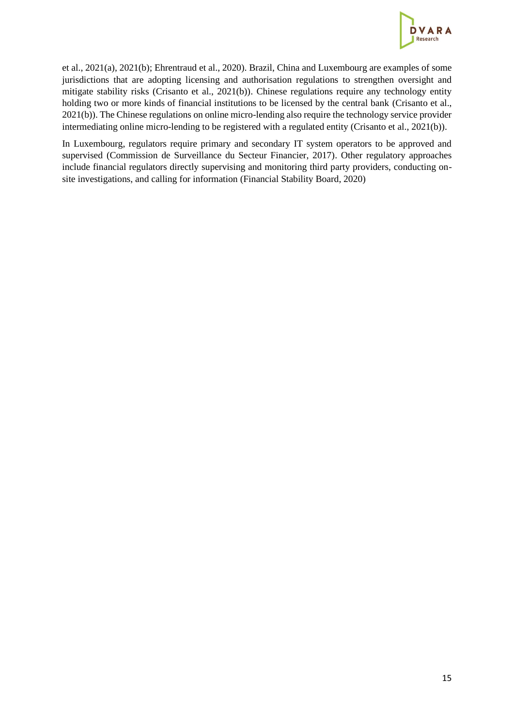

et al., 2021(a), 2021(b); Ehrentraud et al., 2020). Brazil, China and Luxembourg are examples of some jurisdictions that are adopting licensing and authorisation regulations to strengthen oversight and mitigate stability risks (Crisanto et al., 2021(b)). Chinese regulations require any technology entity holding two or more kinds of financial institutions to be licensed by the central bank (Crisanto et al., 2021(b)). The Chinese regulations on online micro-lending also require the technology service provider intermediating online micro-lending to be registered with a regulated entity (Crisanto et al., 2021(b)).

In Luxembourg, regulators require primary and secondary IT system operators to be approved and supervised (Commission de Surveillance du Secteur Financier, 2017). Other regulatory approaches include financial regulators directly supervising and monitoring third party providers, conducting onsite investigations, and calling for information (Financial Stability Board, 2020)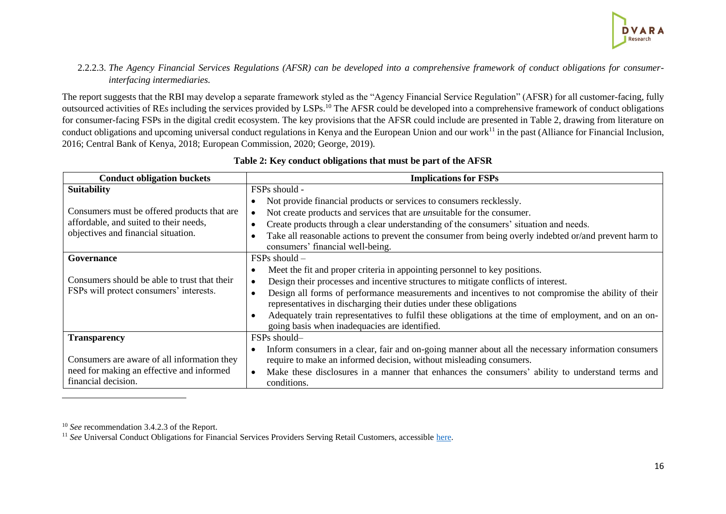### 2.2.2.3. *The Agency Financial Services Regulations (AFSR) can be developed into a comprehensive framework of conduct obligations for consumerinterfacing intermediaries.*

The report suggests that the RBI may develop a separate framework styled as the "Agency Financial Service Regulation" (AFSR) for all customer-facing, fully outsourced activities of REs including the services provided by LSPs.<sup>10</sup> The AFSR could be developed into a comprehensive framework of conduct obligations for consumer-facing FSPs in the digital credit ecosystem. The key provisions that the AFSR could include are presented in Table 2, drawing from literature on conduct obligations and upcoming universal conduct regulations in Kenya and the European Union and our work<sup>11</sup> in the past (Alliance for Financial Inclusion, 2016; Central Bank of Kenya, 2018; European Commission, 2020; George, 2019).

| <b>Conduct obligation buckets</b>            | <b>Implications for FSPs</b>                                                                                                                           |  |  |
|----------------------------------------------|--------------------------------------------------------------------------------------------------------------------------------------------------------|--|--|
| <b>Suitability</b>                           | FSPs should -                                                                                                                                          |  |  |
|                                              | Not provide financial products or services to consumers recklessly.                                                                                    |  |  |
| Consumers must be offered products that are  | Not create products and services that are <i>unsuitable</i> for the consumer.                                                                          |  |  |
| affordable, and suited to their needs,       | Create products through a clear understanding of the consumers' situation and needs.                                                                   |  |  |
| objectives and financial situation.          | Take all reasonable actions to prevent the consumer from being overly indebted or/and prevent harm to<br>consumers' financial well-being.              |  |  |
| Governance                                   | FSPs should –                                                                                                                                          |  |  |
|                                              | Meet the fit and proper criteria in appointing personnel to key positions.                                                                             |  |  |
| Consumers should be able to trust that their | Design their processes and incentive structures to mitigate conflicts of interest.                                                                     |  |  |
| FSPs will protect consumers' interests.      | Design all forms of performance measurements and incentives to not compromise the ability of their                                                     |  |  |
|                                              | representatives in discharging their duties under these obligations                                                                                    |  |  |
|                                              | Adequately train representatives to fulfil these obligations at the time of employment, and on an on-<br>going basis when inadequacies are identified. |  |  |
| <b>Transparency</b>                          | FSPs should-                                                                                                                                           |  |  |
|                                              | Inform consumers in a clear, fair and on-going manner about all the necessary information consumers                                                    |  |  |
| Consumers are aware of all information they  | require to make an informed decision, without misleading consumers.                                                                                    |  |  |
| need for making an effective and informed    | Make these disclosures in a manner that enhances the consumers' ability to understand terms and                                                        |  |  |
| financial decision.                          | conditions.                                                                                                                                            |  |  |

# <span id="page-15-0"></span>**Table 2: Key conduct obligations that must be part of the AFSR**

<sup>10</sup> *See* recommendation 3.4.2.3 of the Report.

<sup>&</sup>lt;sup>11</sup> *See* Universal Conduct Obligations for Financial Services Providers Serving Retail Customers, accessible here.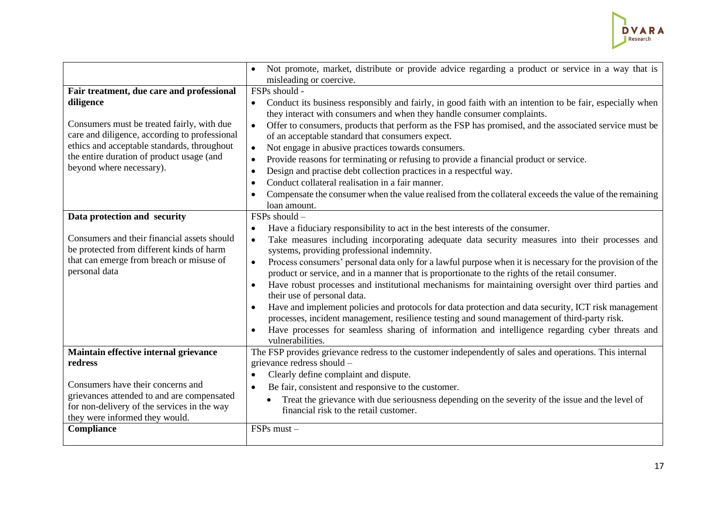

|                                                                                             | Not promote, market, distribute or provide advice regarding a product or service in a way that is<br>$\bullet$<br>misleading or coercive.                                                                                |
|---------------------------------------------------------------------------------------------|--------------------------------------------------------------------------------------------------------------------------------------------------------------------------------------------------------------------------|
| Fair treatment, due care and professional                                                   | FSPs should -                                                                                                                                                                                                            |
| diligence                                                                                   | Conduct its business responsibly and fairly, in good faith with an intention to be fair, especially when<br>they interact with consumers and when they handle consumer complaints.                                       |
| Consumers must be treated fairly, with due<br>care and diligence, according to professional | Offer to consumers, products that perform as the FSP has promised, and the associated service must be<br>$\bullet$<br>of an acceptable standard that consumers expect.                                                   |
| ethics and acceptable standards, throughout                                                 | Not engage in abusive practices towards consumers.                                                                                                                                                                       |
| the entire duration of product usage (and                                                   | Provide reasons for terminating or refusing to provide a financial product or service.<br>$\bullet$                                                                                                                      |
| beyond where necessary).                                                                    | Design and practise debt collection practices in a respectful way.<br>$\bullet$                                                                                                                                          |
|                                                                                             | Conduct collateral realisation in a fair manner.<br>$\bullet$                                                                                                                                                            |
|                                                                                             | Compensate the consumer when the value realised from the collateral exceeds the value of the remaining                                                                                                                   |
|                                                                                             | loan amount.                                                                                                                                                                                                             |
| Data protection and security                                                                | FSPs should -                                                                                                                                                                                                            |
|                                                                                             | Have a fiduciary responsibility to act in the best interests of the consumer.<br>$\bullet$                                                                                                                               |
| Consumers and their financial assets should<br>be protected from different kinds of harm    | Take measures including incorporating adequate data security measures into their processes and<br>$\bullet$<br>systems, providing professional indemnity.                                                                |
| that can emerge from breach or misuse of<br>personal data                                   | Process consumers' personal data only for a lawful purpose when it is necessary for the provision of the<br>$\bullet$<br>product or service, and in a manner that is proportionate to the rights of the retail consumer. |
|                                                                                             | Have robust processes and institutional mechanisms for maintaining oversight over third parties and<br>$\bullet$<br>their use of personal data.                                                                          |
|                                                                                             | Have and implement policies and protocols for data protection and data security, ICT risk management<br>processes, incident management, resilience testing and sound management of third-party risk.                     |
|                                                                                             | Have processes for seamless sharing of information and intelligence regarding cyber threats and<br>$\bullet$<br>vulnerabilities.                                                                                         |
| Maintain effective internal grievance<br>redress                                            | The FSP provides grievance redress to the customer independently of sales and operations. This internal<br>grievance redress should -                                                                                    |
|                                                                                             | Clearly define complaint and dispute.<br>$\bullet$                                                                                                                                                                       |
| Consumers have their concerns and                                                           | Be fair, consistent and responsive to the customer.<br>$\bullet$                                                                                                                                                         |
| grievances attended to and are compensated                                                  | Treat the grievance with due seriousness depending on the severity of the issue and the level of                                                                                                                         |
| for non-delivery of the services in the way<br>they were informed they would.               | financial risk to the retail customer.                                                                                                                                                                                   |
| Compliance                                                                                  | FSPs must-                                                                                                                                                                                                               |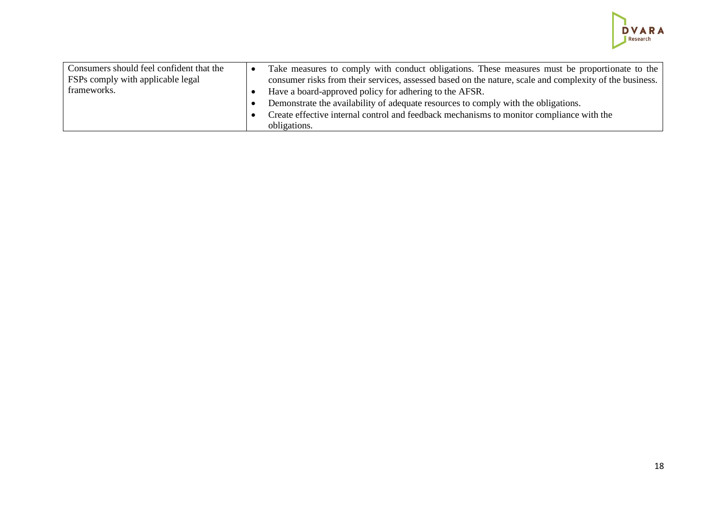

| Consumers should feel confident that the<br>FSPs comply with applicable legal |  | Take measures to comply with conduct obligations. These measures must be proportionate to the<br>consumer risks from their services, assessed based on the nature, scale and complexity of the business. |
|-------------------------------------------------------------------------------|--|----------------------------------------------------------------------------------------------------------------------------------------------------------------------------------------------------------|
| frameworks.                                                                   |  | Have a board-approved policy for adhering to the AFSR.                                                                                                                                                   |
|                                                                               |  | Demonstrate the availability of adequate resources to comply with the obligations.                                                                                                                       |
|                                                                               |  | Create effective internal control and feedback mechanisms to monitor compliance with the                                                                                                                 |
|                                                                               |  | obligations.                                                                                                                                                                                             |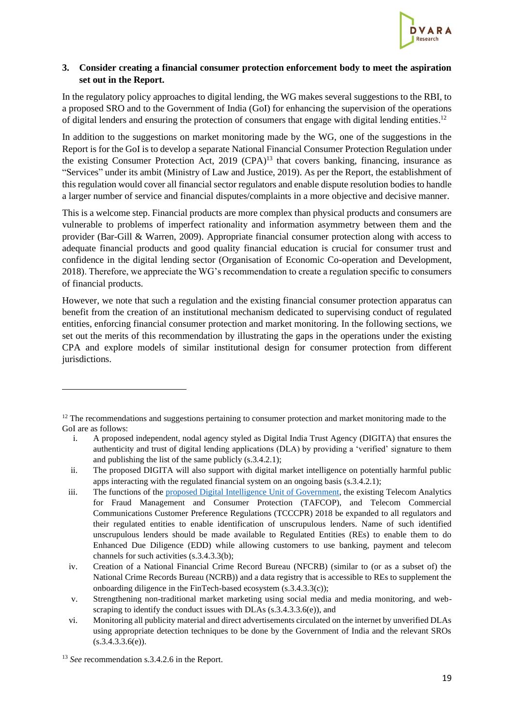

## <span id="page-18-0"></span>**3. Consider creating a financial consumer protection enforcement body to meet the aspiration set out in the Report.**

In the regulatory policy approaches to digital lending, the WG makes several suggestions to the RBI, to a proposed SRO and to the Government of India (GoI) for enhancing the supervision of the operations of digital lenders and ensuring the protection of consumers that engage with digital lending entities.<sup>12</sup>

In addition to the suggestions on market monitoring made by the WG, one of the suggestions in the Report is for the GoI is to develop a separate National Financial Consumer Protection Regulation under the existing Consumer Protection Act, 2019 (CPA)<sup>13</sup> that covers banking, financing, insurance as "Services" under its ambit (Ministry of Law and Justice, 2019). As per the Report, the establishment of this regulation would cover all financial sector regulators and enable dispute resolution bodies to handle a larger number of service and financial disputes/complaints in a more objective and decisive manner.

This is a welcome step. Financial products are more complex than physical products and consumers are vulnerable to problems of imperfect rationality and information asymmetry between them and the provider (Bar-Gill & Warren, 2009). Appropriate financial consumer protection along with access to adequate financial products and good quality financial education is crucial for consumer trust and confidence in the digital lending sector (Organisation of Economic Co-operation and Development, 2018). Therefore, we appreciate the WG's recommendation to create a regulation specific to consumers of financial products.

However, we note that such a regulation and the existing financial consumer protection apparatus can benefit from the creation of an institutional mechanism dedicated to supervising conduct of regulated entities, enforcing financial consumer protection and market monitoring. In the following sections, we set out the merits of this recommendation by illustrating the gaps in the operations under the existing CPA and explore models of similar institutional design for consumer protection from different jurisdictions.

<sup>&</sup>lt;sup>12</sup> The recommendations and suggestions pertaining to consumer protection and market monitoring made to the GoI are as follows:

i. A proposed independent, nodal agency styled as Digital India Trust Agency (DIGITA) that ensures the authenticity and trust of digital lending applications (DLA) by providing a 'verified' signature to them and publishing the list of the same publicly (s.3.4.2.1);

ii. The proposed DIGITA will also support with digital market intelligence on potentially harmful public apps interacting with the regulated financial system on an ongoing basis (s.3.4.2.1);

iii. The functions of the [proposed Digital Intelligence Unit of Government,](https://digitalindia.gov.in/content/digital-intelligence-unit-planned-government-help-deal-fraudulent-transactions-and-telecom) the existing Telecom Analytics for Fraud Management and Consumer Protection (TAFCOP), and Telecom Commercial Communications Customer Preference Regulations (TCCCPR) 2018 be expanded to all regulators and their regulated entities to enable identification of unscrupulous lenders. Name of such identified unscrupulous lenders should be made available to Regulated Entities (REs) to enable them to do Enhanced Due Diligence (EDD) while allowing customers to use banking, payment and telecom channels for such activities (s.3.4.3.3(b);

iv. Creation of a National Financial Crime Record Bureau (NFCRB) (similar to (or as a subset of) the National Crime Records Bureau (NCRB)) and a data registry that is accessible to REs to supplement the onboarding diligence in the FinTech-based ecosystem (s.3.4.3.3(c));

v. Strengthening non-traditional market marketing using social media and media monitoring, and webscraping to identify the conduct issues with DLAs  $(s, 3, 4, 3, 3, 6(e))$ , and

vi. Monitoring all publicity material and direct advertisements circulated on the internet by unverified DLAs using appropriate detection techniques to be done by the Government of India and the relevant SROs  $(s.3.4.3.3.6(e)).$ 

<sup>&</sup>lt;sup>13</sup> *See* recommendation s.3.4.2.6 in the Report.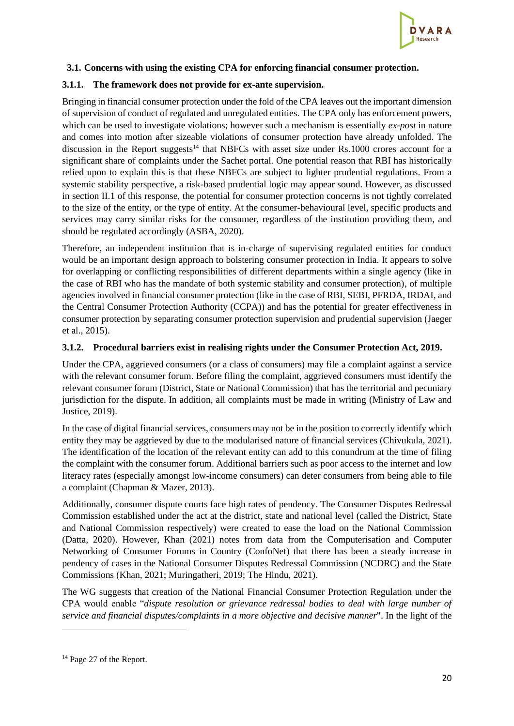

## <span id="page-19-0"></span>**3.1. Concerns with using the existing CPA for enforcing financial consumer protection.**

#### **3.1.1. The framework does not provide for ex-ante supervision.**

Bringing in financial consumer protection under the fold of the CPA leaves out the important dimension of supervision of conduct of regulated and unregulated entities. The CPA only has enforcement powers, which can be used to investigate violations; however such a mechanism is essentially *ex-post* in nature and comes into motion after sizeable violations of consumer protection have already unfolded. The discussion in the Report suggests<sup>14</sup> that NBFCs with asset size under Rs.1000 crores account for a significant share of complaints under the Sachet portal. One potential reason that RBI has historically relied upon to explain this is that these NBFCs are subject to lighter prudential regulations. From a systemic stability perspective, a risk-based prudential logic may appear sound. However, as discussed in section II.1 of this response, the potential for consumer protection concerns is not tightly correlated to the size of the entity, or the type of entity. At the consumer-behavioural level, specific products and services may carry similar risks for the consumer, regardless of the institution providing them, and should be regulated accordingly (ASBA, 2020).

Therefore, an independent institution that is in-charge of supervising regulated entities for conduct would be an important design approach to bolstering consumer protection in India. It appears to solve for overlapping or conflicting responsibilities of different departments within a single agency (like in the case of RBI who has the mandate of both systemic stability and consumer protection), of multiple agencies involved in financial consumer protection (like in the case of RBI, SEBI, PFRDA, IRDAI, and the Central Consumer Protection Authority (CCPA)) and has the potential for greater effectiveness in consumer protection by separating consumer protection supervision and prudential supervision (Jaeger et al., 2015).

#### **3.1.2. Procedural barriers exist in realising rights under the Consumer Protection Act, 2019.**

Under the CPA, aggrieved consumers (or a class of consumers) may file a complaint against a service with the relevant consumer forum. Before filing the complaint, aggrieved consumers must identify the relevant consumer forum (District, State or National Commission) that has the territorial and pecuniary jurisdiction for the dispute. In addition, all complaints must be made in writing (Ministry of Law and Justice, 2019).

In the case of digital financial services, consumers may not be in the position to correctly identify which entity they may be aggrieved by due to the modularised nature of financial services (Chivukula, 2021). The identification of the location of the relevant entity can add to this conundrum at the time of filing the complaint with the consumer forum. Additional barriers such as poor access to the internet and low literacy rates (especially amongst low-income consumers) can deter consumers from being able to file a complaint (Chapman & Mazer, 2013).

Additionally, consumer dispute courts face high rates of pendency. The Consumer Disputes Redressal Commission established under the act at the district, state and national level (called the District, State and National Commission respectively) were created to ease the load on the National Commission (Datta, 2020). However, Khan (2021) notes from data from the Computerisation and Computer Networking of Consumer Forums in Country (ConfoNet) that there has been a steady increase in pendency of cases in the National Consumer Disputes Redressal Commission (NCDRC) and the State Commissions (Khan, 2021; Muringatheri, 2019; The Hindu, 2021).

The WG suggests that creation of the National Financial Consumer Protection Regulation under the CPA would enable "*dispute resolution or grievance redressal bodies to deal with large number of service and financial disputes/complaints in a more objective and decisive manner*". In the light of the

<sup>&</sup>lt;sup>14</sup> Page 27 of the Report.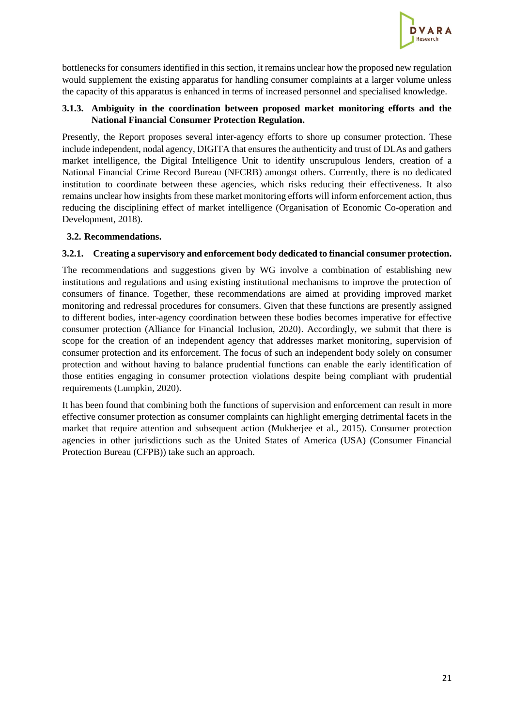

bottlenecks for consumers identified in this section, it remains unclear how the proposed new regulation would supplement the existing apparatus for handling consumer complaints at a larger volume unless the capacity of this apparatus is enhanced in terms of increased personnel and specialised knowledge.

## **3.1.3. Ambiguity in the coordination between proposed market monitoring efforts and the National Financial Consumer Protection Regulation.**

Presently, the Report proposes several inter-agency efforts to shore up consumer protection. These include independent, nodal agency, DIGITA that ensures the authenticity and trust of DLAs and gathers market intelligence, the Digital Intelligence Unit to identify unscrupulous lenders, creation of a National Financial Crime Record Bureau (NFCRB) amongst others. Currently, there is no dedicated institution to coordinate between these agencies, which risks reducing their effectiveness. It also remains unclear how insights from these market monitoring efforts will inform enforcement action, thus reducing the disciplining effect of market intelligence (Organisation of Economic Co-operation and Development, 2018).

## <span id="page-20-0"></span>**3.2. Recommendations.**

#### <span id="page-20-1"></span>**3.2.1. Creating a supervisory and enforcement body dedicated to financial consumer protection.**

The recommendations and suggestions given by WG involve a combination of establishing new institutions and regulations and using existing institutional mechanisms to improve the protection of consumers of finance. Together, these recommendations are aimed at providing improved market monitoring and redressal procedures for consumers. Given that these functions are presently assigned to different bodies, inter-agency coordination between these bodies becomes imperative for effective consumer protection (Alliance for Financial Inclusion, 2020). Accordingly, we submit that there is scope for the creation of an independent agency that addresses market monitoring, supervision of consumer protection and its enforcement. The focus of such an independent body solely on consumer protection and without having to balance prudential functions can enable the early identification of those entities engaging in consumer protection violations despite being compliant with prudential requirements (Lumpkin, 2020).

It has been found that combining both the functions of supervision and enforcement can result in more effective consumer protection as consumer complaints can highlight emerging detrimental facets in the market that require attention and subsequent action (Mukherjee et al., 2015). Consumer protection agencies in other jurisdictions such as the United States of America (USA) (Consumer Financial Protection Bureau (CFPB)) take such an approach.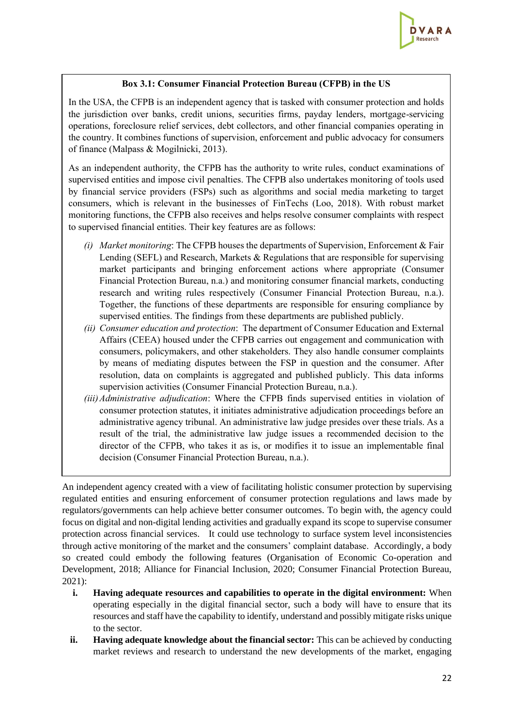

## **Box 3.1: Consumer Financial Protection Bureau (CFPB) in the US**

In the USA, the CFPB is an independent agency that is tasked with consumer protection and holds the jurisdiction over banks, credit unions, securities firms, payday lenders, mortgage-servicing operations, foreclosure relief services, debt collectors, and other financial companies operating in the country. It combines functions of supervision, enforcement and public advocacy for consumers of finance (Malpass & Mogilnicki, 2013).

As an independent authority, the CFPB has the authority to write rules, conduct examinations of supervised entities and impose civil penalties. The CFPB also undertakes monitoring of tools used by financial service providers (FSPs) such as algorithms and social media marketing to target consumers, which is relevant in the businesses of FinTechs (Loo, 2018). With robust market monitoring functions, the CFPB also receives and helps resolve consumer complaints with respect to supervised financial entities. Their key features are as follows:

- *(i) Market monitoring*: The CFPB houses the departments of Supervision, Enforcement & Fair Lending (SEFL) and Research, Markets & Regulations that are responsible for supervising market participants and bringing enforcement actions where appropriate (Consumer Financial Protection Bureau, n.a.) and monitoring consumer financial markets, conducting research and writing rules respectively (Consumer Financial Protection Bureau, n.a.). Together, the functions of these departments are responsible for ensuring compliance by supervised entities. The findings from these departments are published publicly.
- *(ii) Consumer education and protection*: The department of Consumer Education and External Affairs (CEEA) housed under the CFPB carries out engagement and communication with consumers, policymakers, and other stakeholders. They also handle consumer complaints by means of mediating disputes between the FSP in question and the consumer. After resolution, data on complaints is aggregated and published publicly. This data informs supervision activities (Consumer Financial Protection Bureau, n.a.).
- *(iii)Administrative adjudication*: Where the CFPB finds supervised entities in violation of consumer protection statutes, it initiates administrative adjudication proceedings before an administrative agency tribunal. An administrative law judge presides over these trials. As a result of the trial, the administrative law judge issues a recommended decision to the director of the CFPB, who takes it as is, or modifies it to issue an implementable final decision (Consumer Financial Protection Bureau, n.a.).

An independent agency created with a view of facilitating holistic consumer protection by supervising regulated entities and ensuring enforcement of consumer protection regulations and laws made by regulators/governments can help achieve better consumer outcomes. To begin with, the agency could focus on digital and non-digital lending activities and gradually expand its scope to supervise consumer protection across financial services. It could use technology to surface system level inconsistencies through active monitoring of the market and the consumers' complaint database. Accordingly, a body so created could embody the following features (Organisation of Economic Co-operation and Development, 2018; Alliance for Financial Inclusion, 2020; Consumer Financial Protection Bureau, 2021):

- **i. Having adequate resources and capabilities to operate in the digital environment:** When operating especially in the digital financial sector, such a body will have to ensure that its resources and staff have the capability to identify, understand and possibly mitigate risks unique to the sector.
- **ii. Having adequate knowledge about the financial sector:** This can be achieved by conducting market reviews and research to understand the new developments of the market, engaging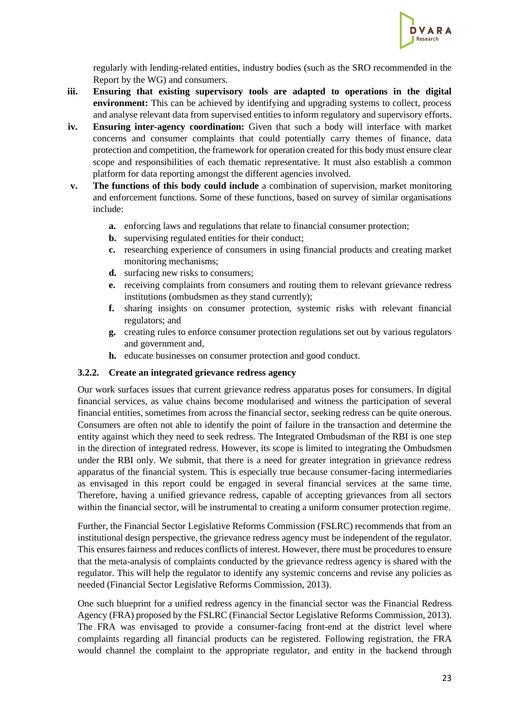

regularly with lending-related entities, industry bodies (such as the SRO recommended in the Report by the WG) and consumers.

- **iii. Ensuring that existing supervisory tools are adapted to operations in the digital environment:** This can be achieved by identifying and upgrading systems to collect, process and analyse relevant data from supervised entities to inform regulatory and supervisory efforts.
- **iv. Ensuring inter-agency coordination:** Given that such a body will interface with market concerns and consumer complaints that could potentially carry themes of finance, data protection and competition, the framework for operation created for this body must ensure clear scope and responsibilities of each thematic representative. It must also establish a common platform for data reporting amongst the different agencies involved.
- **v. The functions of this body could include** a combination of supervision, market monitoring and enforcement functions. Some of these functions, based on survey of similar organisations include:
	- **a.** enforcing laws and regulations that relate to financial consumer protection;
	- **b.** supervising regulated entities for their conduct;
	- **c.** researching experience of consumers in using financial products and creating market monitoring mechanisms;
	- **d.** surfacing new risks to consumers;
	- **e.** receiving complaints from consumers and routing them to relevant grievance redress institutions (ombudsmen as they stand currently);
	- **f.** sharing insights on consumer protection, systemic risks with relevant financial regulators; and
	- **g.** creating rules to enforce consumer protection regulations set out by various regulators and government and,
	- **h.** educate businesses on consumer protection and good conduct.

#### <span id="page-22-0"></span>**3.2.2. Create an integrated grievance redress agency**

Our work surfaces issues that current grievance redress apparatus poses for consumers. In digital financial services, as value chains become modularised and witness the participation of several financial entities, sometimes from across the financial sector, seeking redress can be quite onerous. Consumers are often not able to identify the point of failure in the transaction and determine the entity against which they need to seek redress. The Integrated Ombudsman of the RBI is one step in the direction of integrated redress. However, its scope is limited to integrating the Ombudsmen under the RBI only. We submit, that there is a need for greater integration in grievance redress apparatus of the financial system. This is especially true because consumer-facing intermediaries as envisaged in this report could be engaged in several financial services at the same time. Therefore, having a unified grievance redress, capable of accepting grievances from all sectors within the financial sector, will be instrumental to creating a uniform consumer protection regime.

Further, the Financial Sector Legislative Reforms Commission (FSLRC) recommends that from an institutional design perspective, the grievance redress agency must be independent of the regulator. This ensures fairness and reduces conflicts of interest. However, there must be procedures to ensure that the meta-analysis of complaints conducted by the grievance redress agency is shared with the regulator. This will help the regulator to identify any systemic concerns and revise any policies as needed (Financial Sector Legislative Reforms Commission, 2013).

One such blueprint for a unified redress agency in the financial sector was the Financial Redress Agency (FRA) proposed by the FSLRC (Financial Sector Legislative Reforms Commission, 2013). The FRA was envisaged to provide a consumer-facing front-end at the district level where complaints regarding all financial products can be registered. Following registration, the FRA would channel the complaint to the appropriate regulator, and entity in the backend through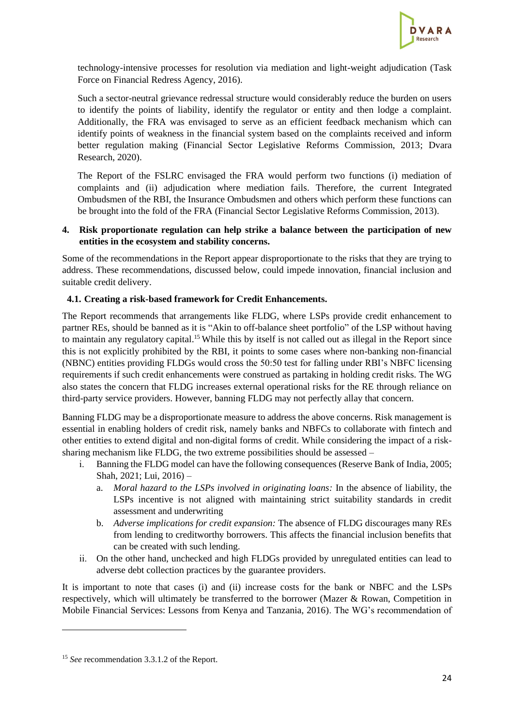

technology-intensive processes for resolution via mediation and light-weight adjudication (Task Force on Financial Redress Agency, 2016).

Such a sector-neutral grievance redressal structure would considerably reduce the burden on users to identify the points of liability, identify the regulator or entity and then lodge a complaint. Additionally, the FRA was envisaged to serve as an efficient feedback mechanism which can identify points of weakness in the financial system based on the complaints received and inform better regulation making (Financial Sector Legislative Reforms Commission, 2013; Dvara Research, 2020).

The Report of the FSLRC envisaged the FRA would perform two functions (i) mediation of complaints and (ii) adjudication where mediation fails. Therefore, the current Integrated Ombudsmen of the RBI, the Insurance Ombudsmen and others which perform these functions can be brought into the fold of the FRA (Financial Sector Legislative Reforms Commission, 2013).

### <span id="page-23-0"></span>**4. Risk proportionate regulation can help strike a balance between the participation of new entities in the ecosystem and stability concerns.**

Some of the recommendations in the Report appear disproportionate to the risks that they are trying to address. These recommendations, discussed below, could impede innovation, financial inclusion and suitable credit delivery.

## <span id="page-23-1"></span>**4.1. Creating a risk-based framework for Credit Enhancements.**

The Report recommends that arrangements like FLDG, where LSPs provide credit enhancement to partner REs, should be banned as it is "Akin to off-balance sheet portfolio" of the LSP without having to maintain any regulatory capital. <sup>15</sup> While this by itself is not called out as illegal in the Report since this is not explicitly prohibited by the RBI, it points to some cases where non-banking non-financial (NBNC) entities providing FLDGs would cross the 50:50 test for falling under RBI's NBFC licensing requirements if such credit enhancements were construed as partaking in holding credit risks. The WG also states the concern that FLDG increases external operational risks for the RE through reliance on third-party service providers. However, banning FLDG may not perfectly allay that concern.

Banning FLDG may be a disproportionate measure to address the above concerns. Risk management is essential in enabling holders of credit risk, namely banks and NBFCs to collaborate with fintech and other entities to extend digital and non-digital forms of credit. While considering the impact of a risksharing mechanism like FLDG, the two extreme possibilities should be assessed –

- i. Banning the FLDG model can have the following consequences (Reserve Bank of India, 2005; Shah, 2021; Lui, 2016) –
	- a. *Moral hazard to the LSPs involved in originating loans:* In the absence of liability, the LSPs incentive is not aligned with maintaining strict suitability standards in credit assessment and underwriting
	- b. *Adverse implications for credit expansion:* The absence of FLDG discourages many REs from lending to creditworthy borrowers. This affects the financial inclusion benefits that can be created with such lending.
- ii. On the other hand, unchecked and high FLDGs provided by unregulated entities can lead to adverse debt collection practices by the guarantee providers.

It is important to note that cases (i) and (ii) increase costs for the bank or NBFC and the LSPs respectively, which will ultimately be transferred to the borrower (Mazer & Rowan, Competition in Mobile Financial Services: Lessons from Kenya and Tanzania, 2016). The WG's recommendation of

<sup>15</sup> *See* recommendation 3.3.1.2 of the Report.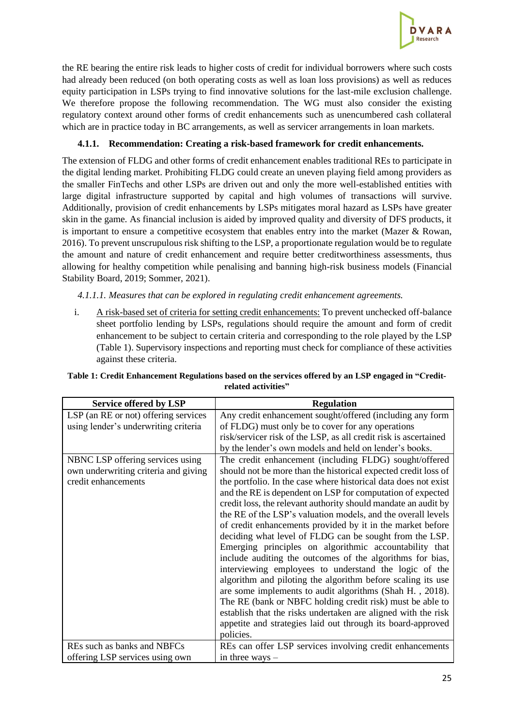

the RE bearing the entire risk leads to higher costs of credit for individual borrowers where such costs had already been reduced (on both operating costs as well as loan loss provisions) as well as reduces equity participation in LSPs trying to find innovative solutions for the last-mile exclusion challenge. We therefore propose the following recommendation. The WG must also consider the existing regulatory context around other forms of credit enhancements such as unencumbered cash collateral which are in practice today in BC arrangements, as well as servicer arrangements in loan markets.

# **4.1.1. Recommendation: Creating a risk-based framework for credit enhancements.**

The extension of FLDG and other forms of credit enhancement enables traditional REs to participate in the digital lending market. Prohibiting FLDG could create an uneven playing field among providers as the smaller FinTechs and other LSPs are driven out and only the more well-established entities with large digital infrastructure supported by capital and high volumes of transactions will survive. Additionally, provision of credit enhancements by LSPs mitigates moral hazard as LSPs have greater skin in the game. As financial inclusion is aided by improved quality and diversity of DFS products, it is important to ensure a competitive ecosystem that enables entry into the market (Mazer & Rowan, 2016). To prevent unscrupulous risk shifting to the LSP, a proportionate regulation would be to regulate the amount and nature of credit enhancement and require better creditworthiness assessments, thus allowing for healthy competition while penalising and banning high-risk business models (Financial Stability Board, 2019; Sommer, 2021).

*4.1.1.1. Measures that can be explored in regulating credit enhancement agreements.*

i. A risk-based set of criteria for setting credit enhancements: To prevent unchecked off-balance sheet portfolio lending by LSPs, regulations should require the amount and form of credit enhancement to be subject to certain criteria and corresponding to the role played by the LSP (Table 1). Supervisory inspections and reporting must check for compliance of these activities against these criteria.

| <b>Service offered by LSP</b>        | <b>Regulation</b>                                                |
|--------------------------------------|------------------------------------------------------------------|
| LSP (an RE or not) offering services | Any credit enhancement sought/offered (including any form        |
| using lender's underwriting criteria | of FLDG) must only be to cover for any operations                |
|                                      | risk/servicer risk of the LSP, as all credit risk is ascertained |
|                                      | by the lender's own models and held on lender's books.           |
| NBNC LSP offering services using     | The credit enhancement (including FLDG) sought/offered           |
| own underwriting criteria and giving | should not be more than the historical expected credit loss of   |
| credit enhancements                  | the portfolio. In the case where historical data does not exist  |
|                                      | and the RE is dependent on LSP for computation of expected       |
|                                      | credit loss, the relevant authority should mandate an audit by   |
|                                      | the RE of the LSP's valuation models, and the overall levels     |
|                                      | of credit enhancements provided by it in the market before       |
|                                      | deciding what level of FLDG can be sought from the LSP.          |
|                                      | Emerging principles on algorithmic accountability that           |
|                                      | include auditing the outcomes of the algorithms for bias,        |
|                                      | interviewing employees to understand the logic of the            |
|                                      | algorithm and piloting the algorithm before scaling its use      |
|                                      | are some implements to audit algorithms (Shah H., 2018).         |
|                                      | The RE (bank or NBFC holding credit risk) must be able to        |
|                                      | establish that the risks undertaken are aligned with the risk    |
|                                      | appetite and strategies laid out through its board-approved      |
|                                      | policies.                                                        |
| REs such as banks and NBFCs          | REs can offer LSP services involving credit enhancements         |
| offering LSP services using own      | in three ways $-$                                                |

# **Table 1: Credit Enhancement Regulations based on the services offered by an LSP engaged in "Creditrelated activities"**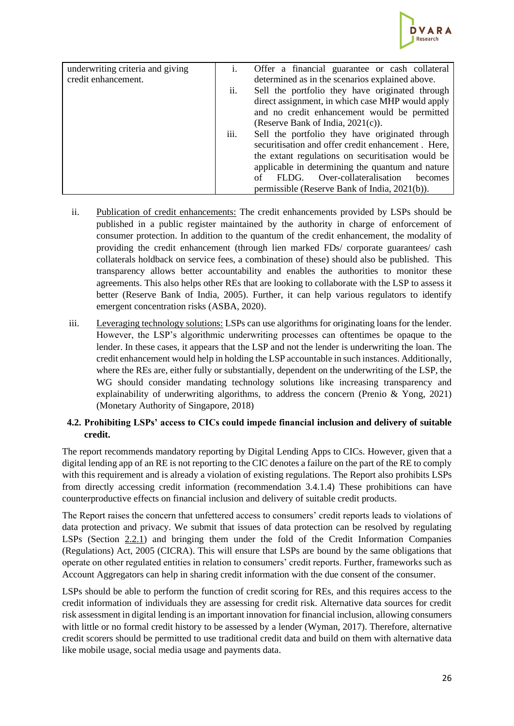

| underwriting criteria and giving | 1.               | Offer a financial guarantee or cash collateral     |
|----------------------------------|------------------|----------------------------------------------------|
| credit enhancement.              |                  | determined as in the scenarios explained above.    |
|                                  | ii.              | Sell the portfolio they have originated through    |
|                                  |                  | direct assignment, in which case MHP would apply   |
|                                  |                  | and no credit enhancement would be permitted       |
|                                  |                  | (Reserve Bank of India, $2021(c)$ ).               |
|                                  | $\cdots$<br>111. | Sell the portfolio they have originated through    |
|                                  |                  | securitisation and offer credit enhancement. Here, |
|                                  |                  | the extant regulations on securitisation would be  |
|                                  |                  | applicable in determining the quantum and nature   |
|                                  |                  | Over-collateralisation<br>FLDG.<br>of<br>becomes   |
|                                  |                  | permissible (Reserve Bank of India, 2021(b)).      |

- ii. Publication of credit enhancements: The credit enhancements provided by LSPs should be published in a public register maintained by the authority in charge of enforcement of consumer protection. In addition to the quantum of the credit enhancement, the modality of providing the credit enhancement (through lien marked FDs/ corporate guarantees/ cash collaterals holdback on service fees, a combination of these) should also be published. This transparency allows better accountability and enables the authorities to monitor these agreements. This also helps other REs that are looking to collaborate with the LSP to assess it better (Reserve Bank of India, 2005). Further, it can help various regulators to identify emergent concentration risks (ASBA, 2020).
- iii. Leveraging technology solutions: LSPs can use algorithms for originating loans for the lender. However, the LSP's algorithmic underwriting processes can oftentimes be opaque to the lender. In these cases, it appears that the LSP and not the lender is underwriting the loan. The credit enhancement would help in holding the LSP accountable in such instances. Additionally, where the REs are, either fully or substantially, dependent on the underwriting of the LSP, the WG should consider mandating technology solutions like increasing transparency and explainability of underwriting algorithms, to address the concern (Prenio & Yong, 2021) (Monetary Authority of Singapore, 2018)

## <span id="page-25-0"></span>**4.2. Prohibiting LSPs' access to CICs could impede financial inclusion and delivery of suitable credit.**

The report recommends mandatory reporting by Digital Lending Apps to CICs. However, given that a digital lending app of an RE is not reporting to the CIC denotes a failure on the part of the RE to comply with this requirement and is already a violation of existing regulations. The Report also prohibits LSPs from directly accessing credit information (recommendation 3.4.1.4) These prohibitions can have counterproductive effects on financial inclusion and delivery of suitable credit products.

The Report raises the concern that unfettered access to consumers' credit reports leads to violations of data protection and privacy. We submit that issues of data protection can be resolved by regulating LSPs (Section [2.2.1\)](#page-11-1) and bringing them under the fold of the Credit Information Companies (Regulations) Act, 2005 (CICRA). This will ensure that LSPs are bound by the same obligations that operate on other regulated entities in relation to consumers' credit reports. Further, frameworks such as Account Aggregators can help in sharing credit information with the due consent of the consumer.

LSPs should be able to perform the function of credit scoring for REs, and this requires access to the credit information of individuals they are assessing for credit risk. Alternative data sources for credit risk assessment in digital lending is an important innovation for financial inclusion, allowing consumers with little or no formal credit history to be assessed by a lender (Wyman, 2017). Therefore, alternative credit scorers should be permitted to use traditional credit data and build on them with alternative data like mobile usage, social media usage and payments data.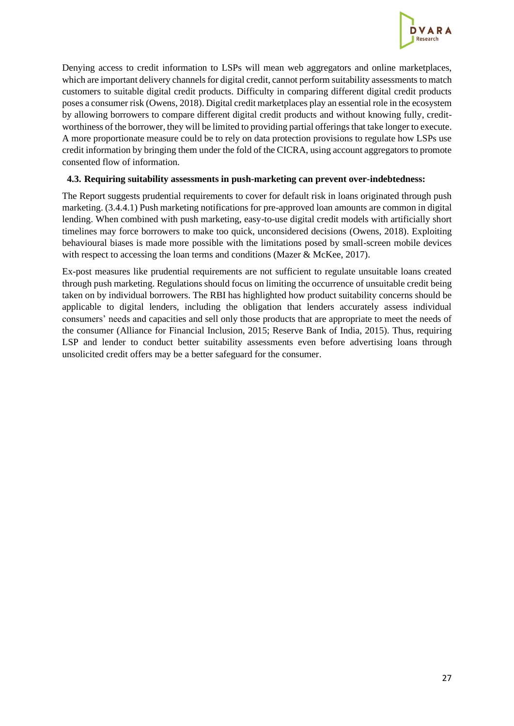

Denying access to credit information to LSPs will mean web aggregators and online marketplaces, which are important delivery channels for digital credit, cannot perform suitability assessments to match customers to suitable digital credit products. Difficulty in comparing different digital credit products poses a consumer risk (Owens, 2018). Digital credit marketplaces play an essential role in the ecosystem by allowing borrowers to compare different digital credit products and without knowing fully, creditworthiness of the borrower, they will be limited to providing partial offerings that take longer to execute. A more proportionate measure could be to rely on data protection provisions to regulate how LSPs use credit information by bringing them under the fold of the CICRA, using account aggregators to promote consented flow of information.

### <span id="page-26-0"></span>**4.3. Requiring suitability assessments in push-marketing can prevent over-indebtedness:**

The Report suggests prudential requirements to cover for default risk in loans originated through push marketing. (3.4.4.1) Push marketing notifications for pre-approved loan amounts are common in digital lending. When combined with push marketing, easy-to-use digital credit models with artificially short timelines may force borrowers to make too quick, unconsidered decisions (Owens, 2018). Exploiting behavioural biases is made more possible with the limitations posed by small-screen mobile devices with respect to accessing the loan terms and conditions (Mazer & McKee, 2017).

Ex-post measures like prudential requirements are not sufficient to regulate unsuitable loans created through push marketing. Regulations should focus on limiting the occurrence of unsuitable credit being taken on by individual borrowers. The RBI has highlighted how product suitability concerns should be applicable to digital lenders, including the obligation that lenders accurately assess individual consumers' needs and capacities and sell only those products that are appropriate to meet the needs of the consumer (Alliance for Financial Inclusion, 2015; Reserve Bank of India, 2015). Thus, requiring LSP and lender to conduct better suitability assessments even before advertising loans through unsolicited credit offers may be a better safeguard for the consumer.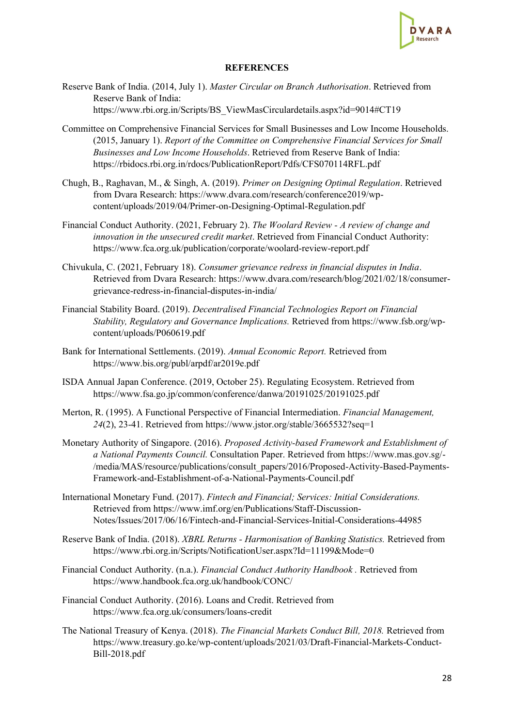

#### **REFERENCES**

- <span id="page-27-0"></span>Reserve Bank of India. (2014, July 1). *Master Circular on Branch Authorisation*. Retrieved from Reserve Bank of India: https://www.rbi.org.in/Scripts/BS\_ViewMasCirculardetails.aspx?id=9014#CT19
- Committee on Comprehensive Financial Services for Small Businesses and Low Income Households. (2015, January 1). *Report of the Committee on Comprehensive Financial Services for Small Businesses and Low Income Households*. Retrieved from Reserve Bank of India: https://rbidocs.rbi.org.in/rdocs/PublicationReport/Pdfs/CFS070114RFL.pdf
- Chugh, B., Raghavan, M., & Singh, A. (2019). *Primer on Designing Optimal Regulation*. Retrieved from Dvara Research: https://www.dvara.com/research/conference2019/wpcontent/uploads/2019/04/Primer-on-Designing-Optimal-Regulation.pdf
- Financial Conduct Authority. (2021, February 2). *The Woolard Review - A review of change and innovation in the unsecured credit market*. Retrieved from Financial Conduct Authority: https://www.fca.org.uk/publication/corporate/woolard-review-report.pdf
- Chivukula, C. (2021, February 18). *Consumer grievance redress in financial disputes in India*. Retrieved from Dvara Research: https://www.dvara.com/research/blog/2021/02/18/consumergrievance-redress-in-financial-disputes-in-india/
- Financial Stability Board. (2019). *Decentralised Financial Technologies Report on Financial Stability, Regulatory and Governance Implications.* Retrieved from https://www.fsb.org/wpcontent/uploads/P060619.pdf
- Bank for International Settlements. (2019). *Annual Economic Report.* Retrieved from https://www.bis.org/publ/arpdf/ar2019e.pdf
- ISDA Annual Japan Conference. (2019, October 25). Regulating Ecosystem. Retrieved from https://www.fsa.go.jp/common/conference/danwa/20191025/20191025.pdf
- Merton, R. (1995). A Functional Perspective of Financial Intermediation. *Financial Management, 24*(2), 23-41. Retrieved from https://www.jstor.org/stable/3665532?seq=1
- Monetary Authority of Singapore. (2016). *Proposed Activity-based Framework and Establishment of a National Payments Council.* Consultation Paper. Retrieved from https://www.mas.gov.sg/- /media/MAS/resource/publications/consult\_papers/2016/Proposed-Activity-Based-Payments-Framework-and-Establishment-of-a-National-Payments-Council.pdf
- International Monetary Fund. (2017). *Fintech and Financial; Services: Initial Considerations.* Retrieved from https://www.imf.org/en/Publications/Staff-Discussion-Notes/Issues/2017/06/16/Fintech-and-Financial-Services-Initial-Considerations-44985
- Reserve Bank of India. (2018). *XBRL Returns - Harmonisation of Banking Statistics.* Retrieved from https://www.rbi.org.in/Scripts/NotificationUser.aspx?Id=11199&Mode=0
- Financial Conduct Authority. (n.a.). *Financial Conduct Authority Handbook .* Retrieved from https://www.handbook.fca.org.uk/handbook/CONC/
- Financial Conduct Authority. (2016). Loans and Credit. Retrieved from https://www.fca.org.uk/consumers/loans-credit
- The National Treasury of Kenya. (2018). *The Financial Markets Conduct Bill, 2018.* Retrieved from https://www.treasury.go.ke/wp-content/uploads/2021/03/Draft-Financial-Markets-Conduct-Bill-2018.pdf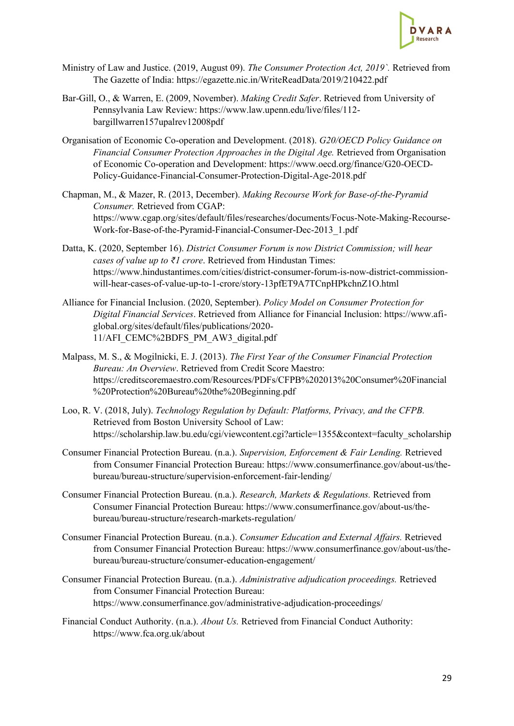

- Ministry of Law and Justice. (2019, August 09). *The Consumer Protection Act, 2019`.* Retrieved from The Gazette of India: https://egazette.nic.in/WriteReadData/2019/210422.pdf
- Bar-Gill, O., & Warren, E. (2009, November). *Making Credit Safer*. Retrieved from University of Pennsylvania Law Review: https://www.law.upenn.edu/live/files/112 bargillwarren157upalrev12008pdf
- Organisation of Economic Co-operation and Development. (2018). *G20/OECD Policy Guidance on Financial Consumer Protection Approaches in the Digital Age.* Retrieved from Organisation of Economic Co-operation and Development: https://www.oecd.org/finance/G20-OECD-Policy-Guidance-Financial-Consumer-Protection-Digital-Age-2018.pdf
- Chapman, M., & Mazer, R. (2013, December). *Making Recourse Work for Base-of-the-Pyramid Consumer.* Retrieved from CGAP: https://www.cgap.org/sites/default/files/researches/documents/Focus-Note-Making-Recourse-Work-for-Base-of-the-Pyramid-Financial-Consumer-Dec-2013\_1.pdf
- Datta, K. (2020, September 16). *District Consumer Forum is now District Commission; will hear cases of value up to ₹1 crore*. Retrieved from Hindustan Times: https://www.hindustantimes.com/cities/district-consumer-forum-is-now-district-commissionwill-hear-cases-of-value-up-to-1-crore/story-13pfET9A7TCnpHPkchnZ1O.html
- Alliance for Financial Inclusion. (2020, September). *Policy Model on Consumer Protection for Digital Financial Services*. Retrieved from Alliance for Financial Inclusion: https://www.afiglobal.org/sites/default/files/publications/2020- 11/AFI\_CEMC%2BDFS\_PM\_AW3\_digital.pdf
- Malpass, M. S., & Mogilnicki, E. J. (2013). *The First Year of the Consumer Financial Protection Bureau: An Overview*. Retrieved from Credit Score Maestro: https://creditscoremaestro.com/Resources/PDFs/CFPB%202013%20Consumer%20Financial %20Protection%20Bureau%20the%20Beginning.pdf
- Loo, R. V. (2018, July). *Technology Regulation by Default: Platforms, Privacy, and the CFPB.* Retrieved from Boston University School of Law: https://scholarship.law.bu.edu/cgi/viewcontent.cgi?article=1355&context=faculty\_scholarship
- Consumer Financial Protection Bureau. (n.a.). *Supervision, Enforcement & Fair Lending.* Retrieved from Consumer Financial Protection Bureau: https://www.consumerfinance.gov/about-us/thebureau/bureau-structure/supervision-enforcement-fair-lending/
- Consumer Financial Protection Bureau. (n.a.). *Research, Markets & Regulations.* Retrieved from Consumer Financial Protection Bureau: https://www.consumerfinance.gov/about-us/thebureau/bureau-structure/research-markets-regulation/
- Consumer Financial Protection Bureau. (n.a.). *Consumer Education and External Affairs.* Retrieved from Consumer Financial Protection Bureau: https://www.consumerfinance.gov/about-us/thebureau/bureau-structure/consumer-education-engagement/
- Consumer Financial Protection Bureau. (n.a.). *Administrative adjudication proceedings.* Retrieved from Consumer Financial Protection Bureau: https://www.consumerfinance.gov/administrative-adjudication-proceedings/
- Financial Conduct Authority. (n.a.). *About Us.* Retrieved from Financial Conduct Authority: https://www.fca.org.uk/about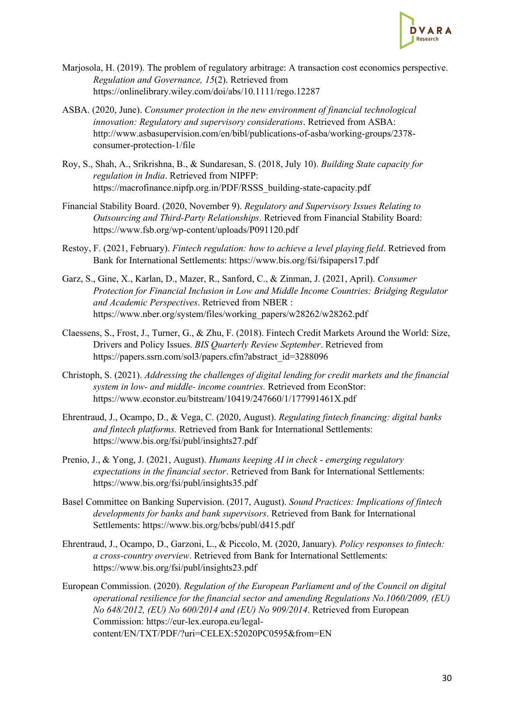

- Marjosola, H. (2019). The problem of regulatory arbitrage: A transaction cost economics perspective. *Regulation and Governance, 15*(2). Retrieved from https://onlinelibrary.wiley.com/doi/abs/10.1111/rego.12287
- ASBA. (2020, June). *Consumer protection in the new environment of financial technological innovation: Regulatory and supervisory considerations*. Retrieved from ASBA: http://www.asbasupervision.com/en/bibl/publications-of-asba/working-groups/2378 consumer-protection-1/file
- Roy, S., Shah, A., Srikrishna, B., & Sundaresan, S. (2018, July 10). *Building State capacity for regulation in India*. Retrieved from NIPFP: https://macrofinance.nipfp.org.in/PDF/RSSS\_building-state-capacity.pdf
- Financial Stability Board. (2020, November 9). *Regulatory and Supervisory Issues Relating to Outsourcing and Third-Party Relationships*. Retrieved from Financial Stability Board: https://www.fsb.org/wp-content/uploads/P091120.pdf
- Restoy, F. (2021, February). *Fintech regulation: how to achieve a level playing field*. Retrieved from Bank for International Settlements: https://www.bis.org/fsi/fsipapers17.pdf
- Garz, S., Gine, X., Karlan, D., Mazer, R., Sanford, C., & Zinman, J. (2021, April). *Consumer Protection for Financial Inclusion in Low and Middle Income Countries: Bridging Regulator and Academic Perspectives*. Retrieved from NBER : https://www.nber.org/system/files/working\_papers/w28262/w28262.pdf
- Claessens, S., Frost, J., Turner, G., & Zhu, F. (2018). Fintech Credit Markets Around the World: Size, Drivers and Policy Issues. *BIS Quarterly Review September*. Retrieved from https://papers.ssrn.com/sol3/papers.cfm?abstract\_id=3288096
- Christoph, S. (2021). *Addressing the challenges of digital lending for credit markets and the financial system in low- and middle- income countries.* Retrieved from EconStor: https://www.econstor.eu/bitstream/10419/247660/1/177991461X.pdf
- Ehrentraud, J., Ocampo, D., & Vega, C. (2020, August). *Regulating fintech financing: digital banks and fintech platforms.* Retrieved from Bank for International Settlements: https://www.bis.org/fsi/publ/insights27.pdf
- Prenio, J., & Yong, J. (2021, August). *Humans keeping AI in check - emerging regulatory expectations in the financial sector*. Retrieved from Bank for International Settlements: https://www.bis.org/fsi/publ/insights35.pdf
- Basel Committee on Banking Supervision. (2017, August). *Sound Practices: Implications of fintech developments for banks and bank supervisors*. Retrieved from Bank for International Settlements: https://www.bis.org/bcbs/publ/d415.pdf
- Ehrentraud, J., Ocampo, D., Garzoni, L., & Piccolo, M. (2020, January). *Policy responses to fintech: a cross-country overview*. Retrieved from Bank for International Settlements: https://www.bis.org/fsi/publ/insights23.pdf
- European Commission. (2020). *Regulation of the European Parliament and of the Council on digital operational resilience for the financial sector and amending Regulations No.1060/2009, (EU) No 648/2012, (EU) No 600/2014 and (EU) No 909/2014*. Retrieved from European Commission: https://eur-lex.europa.eu/legalcontent/EN/TXT/PDF/?uri=CELEX:52020PC0595&from=EN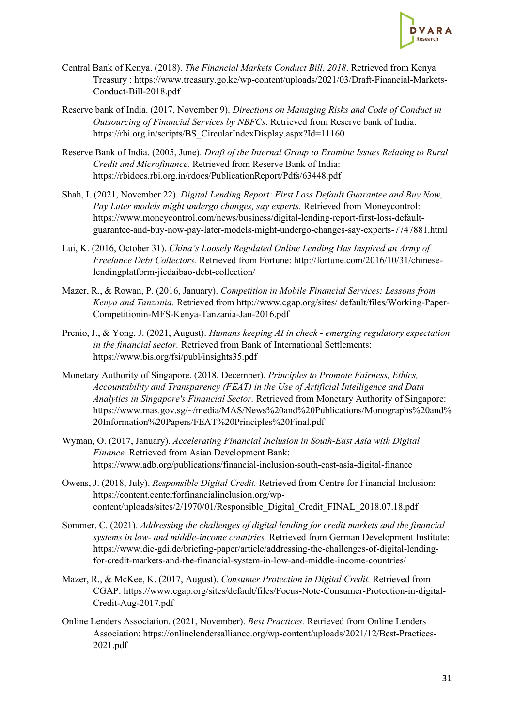

- Central Bank of Kenya. (2018). *The Financial Markets Conduct Bill, 2018*. Retrieved from Kenya Treasury : https://www.treasury.go.ke/wp-content/uploads/2021/03/Draft-Financial-Markets-Conduct-Bill-2018.pdf
- Reserve bank of India. (2017, November 9). *Directions on Managing Risks and Code of Conduct in Outsourcing of Financial Services by NBFCs*. Retrieved from Reserve bank of India: https://rbi.org.in/scripts/BS\_CircularIndexDisplay.aspx?Id=11160
- Reserve Bank of India. (2005, June). *Draft of the Internal Group to Examine Issues Relating to Rural Credit and Microfinance.* Retrieved from Reserve Bank of India: https://rbidocs.rbi.org.in/rdocs/PublicationReport/Pdfs/63448.pdf
- Shah, I. (2021, November 22). *Digital Lending Report: First Loss Default Guarantee and Buy Now, Pay Later models might undergo changes, say experts.* Retrieved from Moneycontrol: https://www.moneycontrol.com/news/business/digital-lending-report-first-loss-defaultguarantee-and-buy-now-pay-later-models-might-undergo-changes-say-experts-7747881.html
- Lui, K. (2016, October 31). *China's Loosely Regulated Online Lending Has Inspired an Army of Freelance Debt Collectors.* Retrieved from Fortune: http://fortune.com/2016/10/31/chineselendingplatform-jiedaibao-debt-collection/
- Mazer, R., & Rowan, P. (2016, January). *Competition in Mobile Financial Services: Lessons from Kenya and Tanzania.* Retrieved from http://www.cgap.org/sites/ default/files/Working-Paper-Competitionin-MFS-Kenya-Tanzania-Jan-2016.pdf
- Prenio, J., & Yong, J. (2021, August). *Humans keeping AI in check - emerging regulatory expectation in the financial sector.* Retrieved from Bank of International Settlements: https://www.bis.org/fsi/publ/insights35.pdf
- Monetary Authority of Singapore. (2018, December). *Principles to Promote Fairness, Ethics, Accountability and Transparency (FEAT) in the Use of Artificial Intelligence and Data Analytics in Singapore's Financial Sector.* Retrieved from Monetary Authority of Singapore: https://www.mas.gov.sg/~/media/MAS/News%20and%20Publications/Monographs%20and% 20Information%20Papers/FEAT%20Principles%20Final.pdf
- Wyman, O. (2017, January). *Accelerating Financial Inclusion in South-East Asia with Digital Finance.* Retrieved from Asian Development Bank: https://www.adb.org/publications/financial-inclusion-south-east-asia-digital-finance
- Owens, J. (2018, July). *Responsible Digital Credit.* Retrieved from Centre for Financial Inclusion: https://content.centerforfinancialinclusion.org/wpcontent/uploads/sites/2/1970/01/Responsible\_Digital\_Credit\_FINAL\_2018.07.18.pdf
- Sommer, C. (2021). *Addressing the challenges of digital lending for credit markets and the financial systems in low- and middle-income countries.* Retrieved from German Development Institute: https://www.die-gdi.de/briefing-paper/article/addressing-the-challenges-of-digital-lendingfor-credit-markets-and-the-financial-system-in-low-and-middle-income-countries/
- Mazer, R., & McKee, K. (2017, August). *Consumer Protection in Digital Credit.* Retrieved from CGAP: https://www.cgap.org/sites/default/files/Focus-Note-Consumer-Protection-in-digital-Credit-Aug-2017.pdf
- Online Lenders Association. (2021, November). *Best Practices.* Retrieved from Online Lenders Association: https://onlinelendersalliance.org/wp-content/uploads/2021/12/Best-Practices-2021.pdf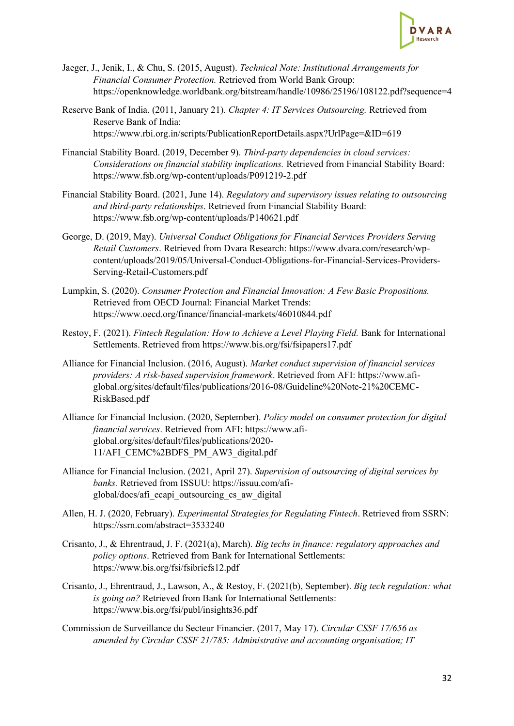

- Jaeger, J., Jenik, I., & Chu, S. (2015, August). *Technical Note: Institutional Arrangements for Financial Consumer Protection.* Retrieved from World Bank Group: https://openknowledge.worldbank.org/bitstream/handle/10986/25196/108122.pdf?sequence=4
- Reserve Bank of India. (2011, January 21). *Chapter 4: IT Services Outsourcing.* Retrieved from Reserve Bank of India: https://www.rbi.org.in/scripts/PublicationReportDetails.aspx?UrlPage=&ID=619
- Financial Stability Board. (2019, December 9). *Third-party dependencies in cloud services: Considerations on financial stability implications.* Retrieved from Financial Stability Board: https://www.fsb.org/wp-content/uploads/P091219-2.pdf
- Financial Stability Board. (2021, June 14). *Regulatory and supervisory issues relating to outsourcing and third-party relationships*. Retrieved from Financial Stability Board: https://www.fsb.org/wp-content/uploads/P140621.pdf
- George, D. (2019, May). *Universal Conduct Obligations for Financial Services Providers Serving Retail Customers*. Retrieved from Dvara Research: https://www.dvara.com/research/wpcontent/uploads/2019/05/Universal-Conduct-Obligations-for-Financial-Services-Providers-Serving-Retail-Customers.pdf
- Lumpkin, S. (2020). *Consumer Protection and Financial Innovation: A Few Basic Propositions.* Retrieved from OECD Journal: Financial Market Trends: https://www.oecd.org/finance/financial-markets/46010844.pdf
- Restoy, F. (2021). *Fintech Regulation: How to Achieve a Level Playing Field.* Bank for International Settlements. Retrieved from https://www.bis.org/fsi/fsipapers17.pdf
- Alliance for Financial Inclusion. (2016, August). *Market conduct supervision of financial services providers: A risk-based supervision framework*. Retrieved from AFI: https://www.afiglobal.org/sites/default/files/publications/2016-08/Guideline%20Note-21%20CEMC-RiskBased.pdf
- Alliance for Financial Inclusion. (2020, September). *Policy model on consumer protection for digital financial services*. Retrieved from AFI: https://www.afiglobal.org/sites/default/files/publications/2020- 11/AFI\_CEMC%2BDFS\_PM\_AW3\_digital.pdf
- Alliance for Financial Inclusion. (2021, April 27). *Supervision of outsourcing of digital services by banks.* Retrieved from ISSUU: https://issuu.com/afiglobal/docs/afi\_ecapi\_outsourcing\_cs\_aw\_digital
- Allen, H. J. (2020, February). *Experimental Strategies for Regulating Fintech*. Retrieved from SSRN: https://ssrn.com/abstract=3533240
- Crisanto, J., & Ehrentraud, J. F. (2021(a), March). *Big techs in finance: regulatory approaches and policy options*. Retrieved from Bank for International Settlements: https://www.bis.org/fsi/fsibriefs12.pdf
- Crisanto, J., Ehrentraud, J., Lawson, A., & Restoy, F. (2021(b), September). *Big tech regulation: what is going on?* Retrieved from Bank for International Settlements: https://www.bis.org/fsi/publ/insights36.pdf
- Commission de Surveillance du Secteur Financier. (2017, May 17). *Circular CSSF 17/656 as amended by Circular CSSF 21/785: Administrative and accounting organisation; IT*